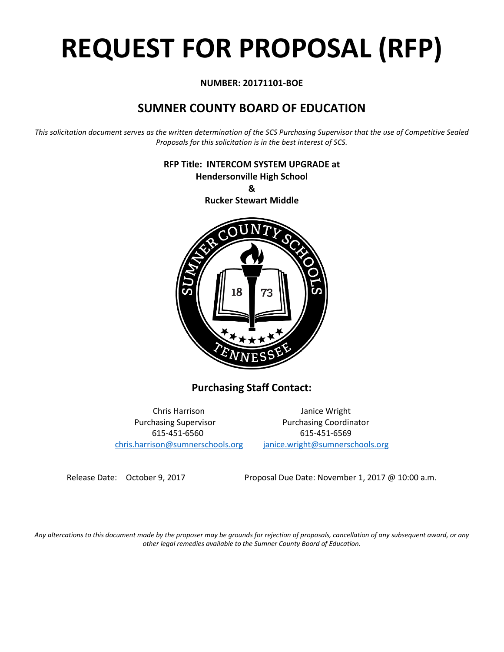# **REQUEST FOR PROPOSAL (RFP)**

# **NUMBER: 20171101-BOE**

# **SUMNER COUNTY BOARD OF EDUCATION**

*This solicitation document serves as the written determination of the SCS Purchasing Supervisor that the use of Competitive Sealed Proposals for this solicitation is in the best interest of SCS.*

> **RFP Title: INTERCOM SYSTEM UPGRADE at Hendersonville High School &**



**Purchasing Staff Contact:**

[chris.harrison@sumnerschools.org](mailto:chris.harrison@sumnerschools.org) [janice.wright@sumnerschools.org](mailto:janice.wright@sumnerschools.org)

Chris Harrison Janice Wright Purchasing Supervisor **Purchasing Coordinator** 615-451-6560 615-451-6569

Release Date: October 9, 2017 Proposal Due Date: November 1, 2017 @ 10:00 a.m.

*Any altercations to this document made by the proposer may be grounds for rejection of proposals, cancellation of any subsequent award, or any other legal remedies available to the Sumner County Board of Education.*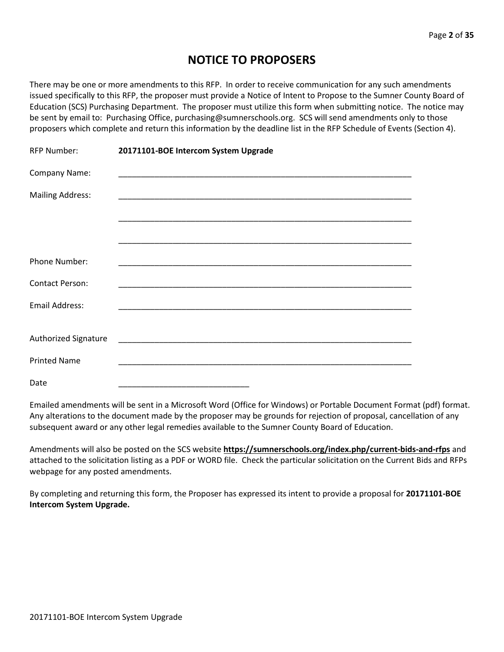# **NOTICE TO PROPOSERS**

There may be one or more amendments to this RFP. In order to receive communication for any such amendments issued specifically to this RFP, the proposer must provide a Notice of Intent to Propose to the Sumner County Board of Education (SCS) Purchasing Department. The proposer must utilize this form when submitting notice. The notice may be sent by email to: Purchasing Office, purchasing@sumnerschools.org. SCS will send amendments only to those proposers which complete and return this information by the deadline list in the RFP Schedule of Events (Section 4).

| <b>RFP Number:</b>      | 20171101-BOE Intercom System Upgrade |
|-------------------------|--------------------------------------|
| Company Name:           |                                      |
| <b>Mailing Address:</b> |                                      |
|                         |                                      |
|                         |                                      |
| <b>Phone Number:</b>    |                                      |
| <b>Contact Person:</b>  |                                      |
| Email Address:          |                                      |
|                         |                                      |
| Authorized Signature    |                                      |
| <b>Printed Name</b>     |                                      |
| Date                    |                                      |

Emailed amendments will be sent in a Microsoft Word (Office for Windows) or Portable Document Format (pdf) format. Any alterations to the document made by the proposer may be grounds for rejection of proposal, cancellation of any subsequent award or any other legal remedies available to the Sumner County Board of Education.

Amendments will also be posted on the SCS website **https://sumnerschools.org/index.php/current-bids-and-rfps** and attached to the solicitation listing as a PDF or WORD file. Check the particular solicitation on the Current Bids and RFPs webpage for any posted amendments.

By completing and returning this form, the Proposer has expressed its intent to provide a proposal for **20171101-BOE Intercom System Upgrade.**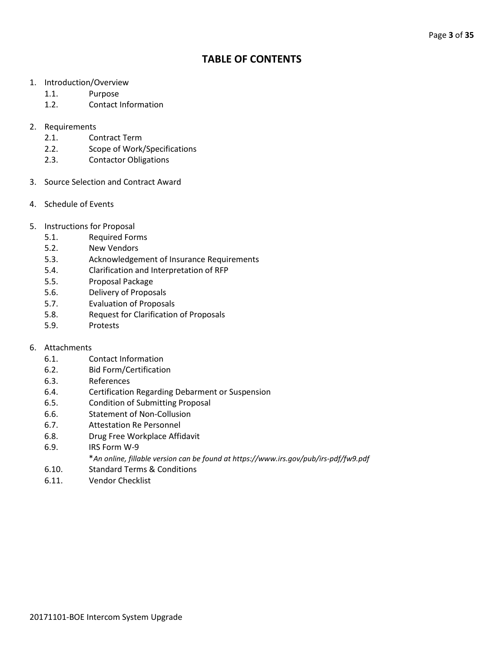# **TABLE OF CONTENTS**

- 1. Introduction/Overview
	- 1.1. Purpose
	- 1.2. Contact Information
- 2. Requirements
	- 2.1. Contract Term
	- 2.2. Scope of Work/Specifications
	- 2.3. Contactor Obligations
- 3. Source Selection and Contract Award
- 4. Schedule of Events
- 5. Instructions for Proposal
	- 5.1. Required Forms
	- 5.2. New Vendors
	- 5.3. Acknowledgement of Insurance Requirements
	- 5.4. Clarification and Interpretation of RFP
	- 5.5. Proposal Package
	- 5.6. Delivery of Proposals
	- 5.7. Evaluation of Proposals
	- 5.8. Request for Clarification of Proposals
	- 5.9. Protests

# 6. Attachments

- 6.1. Contact Information
- 6.2. Bid Form/Certification
- 6.3. References
- 6.4. Certification Regarding Debarment or Suspension
- 6.5. Condition of Submitting Proposal
- 6.6. Statement of Non-Collusion
- 6.7. Attestation Re Personnel
- 6.8. Drug Free Workplace Affidavit
- 6.9. IRS Form W-9
	- \**An online, fillable version can be found at https://www.irs.gov/pub/irs-pdf/fw9.pdf*
- 6.10. Standard Terms & Conditions
- 6.11. Vendor Checklist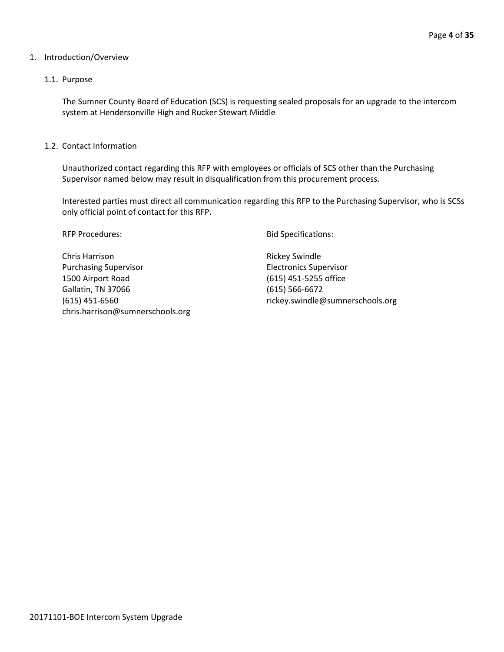#### 1. Introduction/Overview

#### 1.1. Purpose

The Sumner County Board of Education (SCS) is requesting sealed proposals for an upgrade to the intercom system at Hendersonville High and Rucker Stewart Middle

1.2. Contact Information

Unauthorized contact regarding this RFP with employees or officials of SCS other than the Purchasing Supervisor named below may result in disqualification from this procurement process.

Interested parties must direct all communication regarding this RFP to the Purchasing Supervisor, who is SCSs only official point of contact for this RFP.

Chris Harrison **Rickey Swindle** Purchasing Supervisor **Electronics** Supervisor 1500 Airport Road (615) 451-5255 office Gallatin, TN 37066 (615) 566-6672 (615) 451-6560 rickey.swindle@sumnerschools.org chris.harrison@sumnerschools.org

RFP Procedures: The Specifications: Bid Specifications: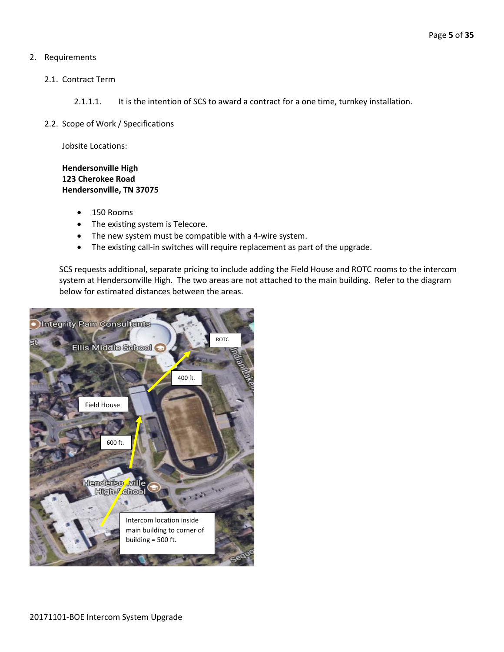# 2. Requirements

- 2.1. Contract Term
	- 2.1.1.1. It is the intention of SCS to award a contract for a one time, turnkey installation.
- 2.2. Scope of Work / Specifications

Jobsite Locations:

# **Hendersonville High 123 Cherokee Road Hendersonville, TN 37075**

- 150 Rooms
- The existing system is Telecore.
- The new system must be compatible with a 4-wire system.
- The existing call-in switches will require replacement as part of the upgrade.

SCS requests additional, separate pricing to include adding the Field House and ROTC rooms to the intercom system at Hendersonville High. The two areas are not attached to the main building. Refer to the diagram below for estimated distances between the areas.

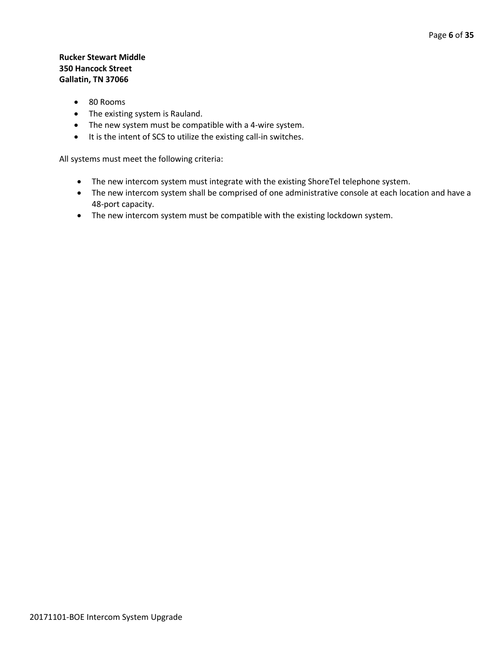# **Rucker Stewart Middle 350 Hancock Street Gallatin, TN 37066**

- 80 Rooms
- The existing system is Rauland.
- The new system must be compatible with a 4-wire system.
- It is the intent of SCS to utilize the existing call-in switches.

All systems must meet the following criteria:

- The new intercom system must integrate with the existing ShoreTel telephone system.
- The new intercom system shall be comprised of one administrative console at each location and have a 48-port capacity.
- The new intercom system must be compatible with the existing lockdown system.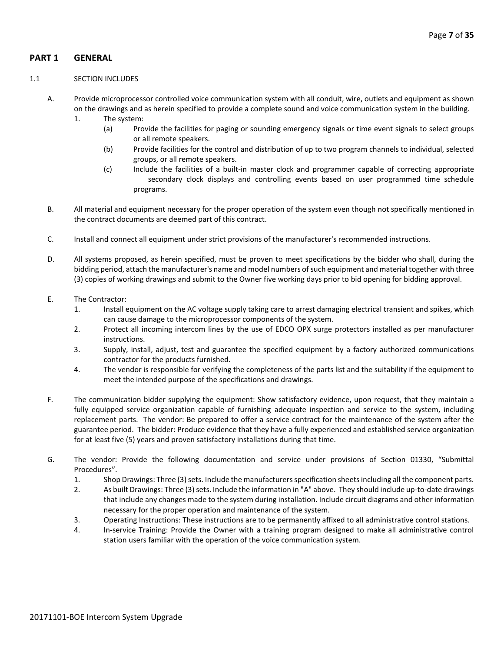# **PART 1 GENERAL**

#### 1.1 SECTION INCLUDES

- A. Provide microprocessor controlled voice communication system with all conduit, wire, outlets and equipment as shown on the drawings and as herein specified to provide a complete sound and voice communication system in the building.
	- 1. The system:
		- (a) Provide the facilities for paging or sounding emergency signals or time event signals to select groups or all remote speakers.
		- (b) Provide facilities for the control and distribution of up to two program channels to individual, selected groups, or all remote speakers.
		- (c) Include the facilities of a built-in master clock and programmer capable of correcting appropriate secondary clock displays and controlling events based on user programmed time schedule programs.
- B. All material and equipment necessary for the proper operation of the system even though not specifically mentioned in the contract documents are deemed part of this contract.
- C. Install and connect all equipment under strict provisions of the manufacturer's recommended instructions.
- D. All systems proposed, as herein specified, must be proven to meet specifications by the bidder who shall, during the bidding period, attach the manufacturer's name and model numbers of such equipment and material together with three (3) copies of working drawings and submit to the Owner five working days prior to bid opening for bidding approval.
- E. The Contractor:
	- 1. Install equipment on the AC voltage supply taking care to arrest damaging electrical transient and spikes, which can cause damage to the microprocessor components of the system.
	- 2. Protect all incoming intercom lines by the use of EDCO OPX surge protectors installed as per manufacturer instructions.
	- 3. Supply, install, adjust, test and guarantee the specified equipment by a factory authorized communications contractor for the products furnished.
	- 4. The vendor is responsible for verifying the completeness of the parts list and the suitability if the equipment to meet the intended purpose of the specifications and drawings.
- F. The communication bidder supplying the equipment: Show satisfactory evidence, upon request, that they maintain a fully equipped service organization capable of furnishing adequate inspection and service to the system, including replacement parts. The vendor: Be prepared to offer a service contract for the maintenance of the system after the guarantee period. The bidder: Produce evidence that they have a fully experienced and established service organization for at least five (5) years and proven satisfactory installations during that time.
- G. The vendor: Provide the following documentation and service under provisions of Section 01330, "Submittal Procedures".
	- 1. Shop Drawings: Three (3) sets. Include the manufacturers specification sheets including all the component parts.
	- 2. As built Drawings: Three (3) sets. Include the information in "A" above. They should include up-to-date drawings that include any changes made to the system during installation. Include circuit diagrams and other information necessary for the proper operation and maintenance of the system.
	- 3. Operating Instructions: These instructions are to be permanently affixed to all administrative control stations.
	- 4. In-service Training: Provide the Owner with a training program designed to make all administrative control station users familiar with the operation of the voice communication system.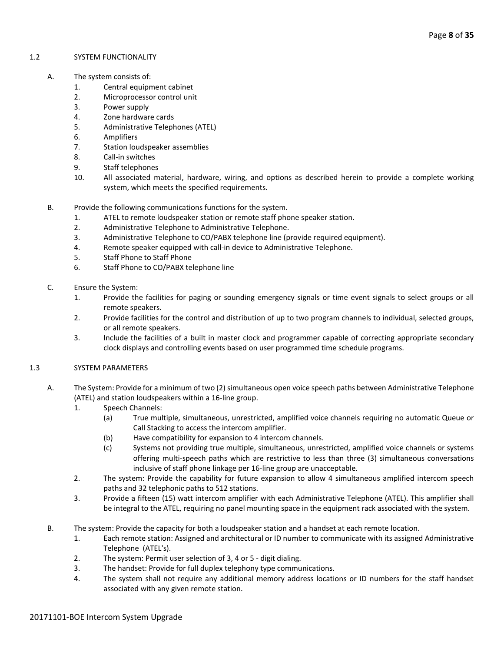#### 1.2 SYSTEM FUNCTIONALITY

- A. The system consists of:
	- 1. Central equipment cabinet
	- 2. Microprocessor control unit
	- 3. Power supply
	- 4. Zone hardware cards
	- 5. Administrative Telephones (ATEL)
	- 6. Amplifiers
	- 7. Station loudspeaker assemblies
	- 8. Call-in switches
	- 9. Staff telephones
	- 10. All associated material, hardware, wiring, and options as described herein to provide a complete working system, which meets the specified requirements.
	- B. Provide the following communications functions for the system.
		- 1. ATEL to remote loudspeaker station or remote staff phone speaker station.
		- 2. Administrative Telephone to Administrative Telephone.
		- 3. Administrative Telephone to CO/PABX telephone line (provide required equipment).
		- 4. Remote speaker equipped with call-in device to Administrative Telephone.
		- 5. Staff Phone to Staff Phone
		- 6. Staff Phone to CO/PABX telephone line
	- C. Ensure the System:
		- 1. Provide the facilities for paging or sounding emergency signals or time event signals to select groups or all remote speakers.
		- 2. Provide facilities for the control and distribution of up to two program channels to individual, selected groups, or all remote speakers.
		- 3. Include the facilities of a built in master clock and programmer capable of correcting appropriate secondary clock displays and controlling events based on user programmed time schedule programs.
- 1.3 SYSTEM PARAMETERS
	- A. The System: Provide for a minimum of two (2) simultaneous open voice speech paths between Administrative Telephone (ATEL) and station loudspeakers within a 16-line group.
		- 1. Speech Channels:
			- (a) True multiple, simultaneous, unrestricted, amplified voice channels requiring no automatic Queue or Call Stacking to access the intercom amplifier.
			- (b) Have compatibility for expansion to 4 intercom channels.
			- (c) Systems not providing true multiple, simultaneous, unrestricted, amplified voice channels or systems offering multi-speech paths which are restrictive to less than three (3) simultaneous conversations inclusive of staff phone linkage per 16-line group are unacceptable.
		- 2. The system: Provide the capability for future expansion to allow 4 simultaneous amplified intercom speech paths and 32 telephonic paths to 512 stations.
		- 3. Provide a fifteen (15) watt intercom amplifier with each Administrative Telephone (ATEL). This amplifier shall be integral to the ATEL, requiring no panel mounting space in the equipment rack associated with the system.
	- B. The system: Provide the capacity for both a loudspeaker station and a handset at each remote location.
		- 1. Each remote station: Assigned and architectural or ID number to communicate with its assigned Administrative Telephone (ATEL's).
		- 2. The system: Permit user selection of 3, 4 or 5 digit dialing.
		- 3. The handset: Provide for full duplex telephony type communications.
		- 4. The system shall not require any additional memory address locations or ID numbers for the staff handset associated with any given remote station.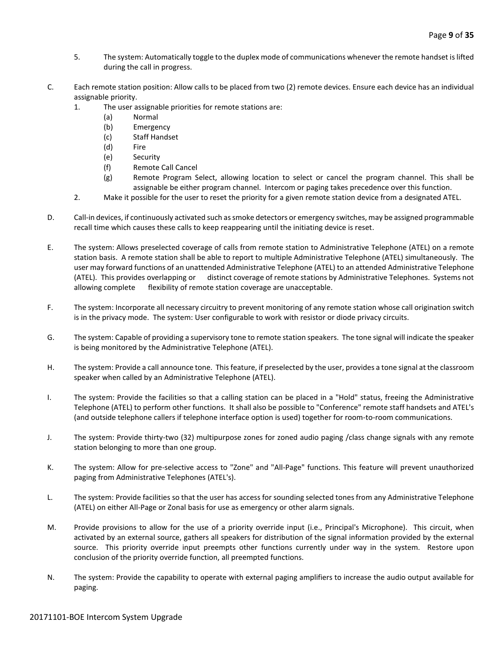- 5. The system: Automatically toggle to the duplex mode of communications whenever the remote handset is lifted during the call in progress.
- C. Each remote station position: Allow calls to be placed from two (2) remote devices. Ensure each device has an individual assignable priority.
	- 1. The user assignable priorities for remote stations are:
		- (a) Normal
		- (b) Emergency
		- (c) Staff Handset
		- (d) Fire
		- (e) Security
		- (f) Remote Call Cancel
		- (g) Remote Program Select, allowing location to select or cancel the program channel. This shall be assignable be either program channel. Intercom or paging takes precedence over this function.
	- 2. Make it possible for the user to reset the priority for a given remote station device from a designated ATEL.
- D. Call-in devices, if continuously activated such as smoke detectors or emergency switches, may be assigned programmable recall time which causes these calls to keep reappearing until the initiating device is reset.
- E. The system: Allows preselected coverage of calls from remote station to Administrative Telephone (ATEL) on a remote station basis. A remote station shall be able to report to multiple Administrative Telephone (ATEL) simultaneously. The user may forward functions of an unattended Administrative Telephone (ATEL) to an attended Administrative Telephone (ATEL). This provides overlapping or distinct coverage of remote stations by Administrative Telephones. Systems not allowing complete flexibility of remote station coverage are unacceptable.
- F. The system: Incorporate all necessary circuitry to prevent monitoring of any remote station whose call origination switch is in the privacy mode. The system: User configurable to work with resistor or diode privacy circuits.
- G. The system: Capable of providing a supervisory tone to remote station speakers. The tone signal will indicate the speaker is being monitored by the Administrative Telephone (ATEL).
- H. The system: Provide a call announce tone. This feature, if preselected by the user, provides a tone signal at the classroom speaker when called by an Administrative Telephone (ATEL).
- I. The system: Provide the facilities so that a calling station can be placed in a "Hold" status, freeing the Administrative Telephone (ATEL) to perform other functions. It shall also be possible to "Conference" remote staff handsets and ATEL's (and outside telephone callers if telephone interface option is used) together for room-to-room communications.
- J. The system: Provide thirty-two (32) multipurpose zones for zoned audio paging /class change signals with any remote station belonging to more than one group.
- K. The system: Allow for pre-selective access to "Zone" and "All-Page" functions. This feature will prevent unauthorized paging from Administrative Telephones (ATEL's).
- L. The system: Provide facilities so that the user has access for sounding selected tones from any Administrative Telephone (ATEL) on either All-Page or Zonal basis for use as emergency or other alarm signals.
- M. Provide provisions to allow for the use of a priority override input (i.e., Principal's Microphone). This circuit, when activated by an external source, gathers all speakers for distribution of the signal information provided by the external source. This priority override input preempts other functions currently under way in the system. Restore upon conclusion of the priority override function, all preempted functions.
- N. The system: Provide the capability to operate with external paging amplifiers to increase the audio output available for paging.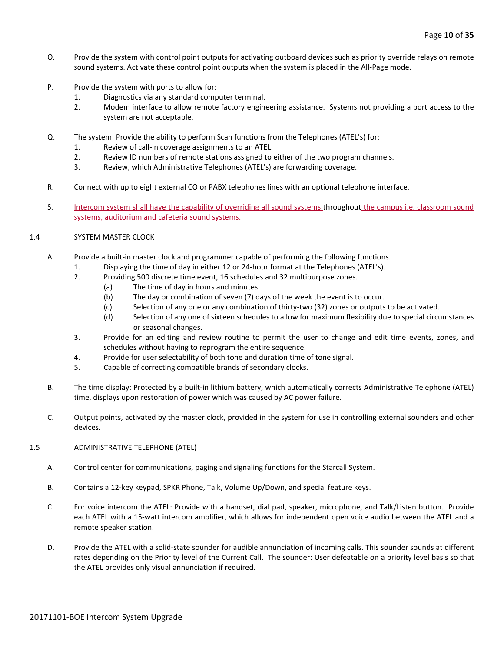- O. Provide the system with control point outputs for activating outboard devices such as priority override relays on remote sound systems. Activate these control point outputs when the system is placed in the All-Page mode.
- P. Provide the system with ports to allow for:
	- 1. Diagnostics via any standard computer terminal.
	- 2. Modem interface to allow remote factory engineering assistance. Systems not providing a port access to the system are not acceptable.
- Q. The system: Provide the ability to perform Scan functions from the Telephones (ATEL's) for:
	- 1. Review of call-in coverage assignments to an ATEL.
	- 2. Review ID numbers of remote stations assigned to either of the two program channels.
	- 3. Review, which Administrative Telephones (ATEL's) are forwarding coverage.
- R. Connect with up to eight external CO or PABX telephones lines with an optional telephone interface.
- S. Intercom system shall have the capability of overriding all sound systems throughout the campus i.e. classroom sound systems, auditorium and cafeteria sound systems.

#### 1.4 SYSTEM MASTER CLOCK

- A. Provide a built-in master clock and programmer capable of performing the following functions.
	- 1. Displaying the time of day in either 12 or 24-hour format at the Telephones (ATEL's).
	- 2. Providing 500 discrete time event, 16 schedules and 32 multipurpose zones.
		- (a) The time of day in hours and minutes.
		- (b) The day or combination of seven (7) days of the week the event is to occur.
		- (c) Selection of any one or any combination of thirty-two (32) zones or outputs to be activated.
		- (d) Selection of any one of sixteen schedules to allow for maximum flexibility due to special circumstances or seasonal changes.
	- 3. Provide for an editing and review routine to permit the user to change and edit time events, zones, and schedules without having to reprogram the entire sequence.
	- 4. Provide for user selectability of both tone and duration time of tone signal.
	- 5. Capable of correcting compatible brands of secondary clocks.
	- B. The time display: Protected by a built-in lithium battery, which automatically corrects Administrative Telephone (ATEL) time, displays upon restoration of power which was caused by AC power failure.
	- C. Output points, activated by the master clock, provided in the system for use in controlling external sounders and other devices.

#### 1.5 ADMINISTRATIVE TELEPHONE (ATEL)

- A. Control center for communications, paging and signaling functions for the Starcall System.
- B. Contains a 12-key keypad, SPKR Phone, Talk, Volume Up/Down, and special feature keys.
- C. For voice intercom the ATEL: Provide with a handset, dial pad, speaker, microphone, and Talk/Listen button. Provide each ATEL with a 15-watt intercom amplifier, which allows for independent open voice audio between the ATEL and a remote speaker station.
- D. Provide the ATEL with a solid-state sounder for audible annunciation of incoming calls. This sounder sounds at different rates depending on the Priority level of the Current Call. The sounder: User defeatable on a priority level basis so that the ATEL provides only visual annunciation if required.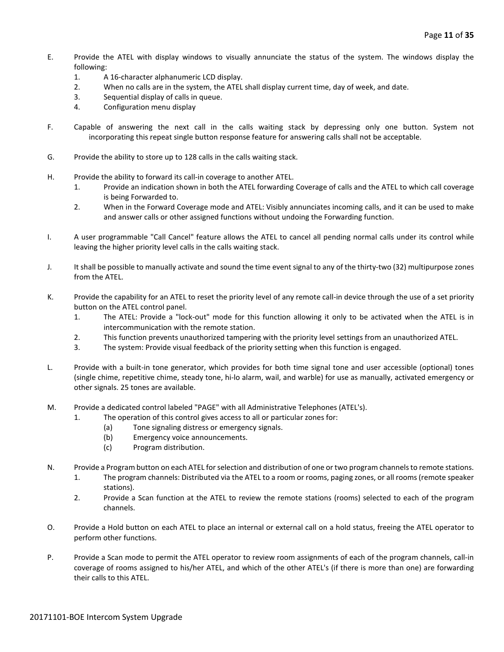- E. Provide the ATEL with display windows to visually annunciate the status of the system. The windows display the following:
	- 1. A 16-character alphanumeric LCD display.
	- 2. When no calls are in the system, the ATEL shall display current time, day of week, and date.
	- 3. Sequential display of calls in queue.
	- 4. Configuration menu display
- F. Capable of answering the next call in the calls waiting stack by depressing only one button. System not incorporating this repeat single button response feature for answering calls shall not be acceptable.
- G. Provide the ability to store up to 128 calls in the calls waiting stack.
- H. Provide the ability to forward its call-in coverage to another ATEL.
	- 1. Provide an indication shown in both the ATEL forwarding Coverage of calls and the ATEL to which call coverage is being Forwarded to.
	- 2. When in the Forward Coverage mode and ATEL: Visibly annunciates incoming calls, and it can be used to make and answer calls or other assigned functions without undoing the Forwarding function.
- I. A user programmable "Call Cancel" feature allows the ATEL to cancel all pending normal calls under its control while leaving the higher priority level calls in the calls waiting stack.
- J. It shall be possible to manually activate and sound the time event signal to any of the thirty-two (32) multipurpose zones from the ATEL.
- K. Provide the capability for an ATEL to reset the priority level of any remote call-in device through the use of a set priority button on the ATEL control panel.
	- 1. The ATEL: Provide a "lock-out" mode for this function allowing it only to be activated when the ATEL is in intercommunication with the remote station.
	- 2. This function prevents unauthorized tampering with the priority level settings from an unauthorized ATEL.
	- 3. The system: Provide visual feedback of the priority setting when this function is engaged.
- L. Provide with a built-in tone generator, which provides for both time signal tone and user accessible (optional) tones (single chime, repetitive chime, steady tone, hi-lo alarm, wail, and warble) for use as manually, activated emergency or other signals. 25 tones are available.
- M. Provide a dedicated control labeled "PAGE" with all Administrative Telephones (ATEL's).
	- 1. The operation of this control gives access to all or particular zones for:
		- (a) Tone signaling distress or emergency signals.
		- (b) Emergency voice announcements.
		- (c) Program distribution.
- N. Provide a Program button on each ATEL for selection and distribution of one or two program channels to remote stations.
	- 1. The program channels: Distributed via the ATEL to a room or rooms, paging zones, or all rooms (remote speaker stations).
	- 2. Provide a Scan function at the ATEL to review the remote stations (rooms) selected to each of the program channels.
- O. Provide a Hold button on each ATEL to place an internal or external call on a hold status, freeing the ATEL operator to perform other functions.
- P. Provide a Scan mode to permit the ATEL operator to review room assignments of each of the program channels, call-in coverage of rooms assigned to his/her ATEL, and which of the other ATEL's (if there is more than one) are forwarding their calls to this ATEL.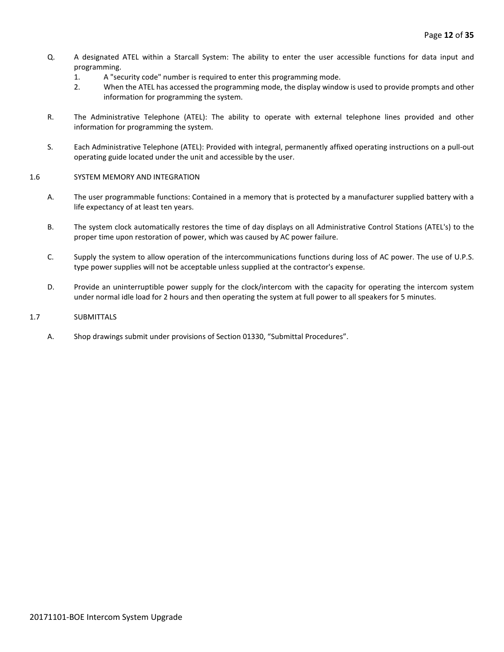- Q. A designated ATEL within a Starcall System: The ability to enter the user accessible functions for data input and programming.
	- 1. A "security code" number is required to enter this programming mode.
	- 2. When the ATEL has accessed the programming mode, the display window is used to provide prompts and other information for programming the system.
- R. The Administrative Telephone (ATEL): The ability to operate with external telephone lines provided and other information for programming the system.
- S. Each Administrative Telephone (ATEL): Provided with integral, permanently affixed operating instructions on a pull-out operating guide located under the unit and accessible by the user.

#### 1.6 SYSTEM MEMORY AND INTEGRATION

- A. The user programmable functions: Contained in a memory that is protected by a manufacturer supplied battery with a life expectancy of at least ten years.
- B. The system clock automatically restores the time of day displays on all Administrative Control Stations (ATEL's) to the proper time upon restoration of power, which was caused by AC power failure.
- C. Supply the system to allow operation of the intercommunications functions during loss of AC power. The use of U.P.S. type power supplies will not be acceptable unless supplied at the contractor's expense.
- D. Provide an uninterruptible power supply for the clock/intercom with the capacity for operating the intercom system under normal idle load for 2 hours and then operating the system at full power to all speakers for 5 minutes.

#### 1.7 SUBMITTALS

A. Shop drawings submit under provisions of Section 01330, "Submittal Procedures".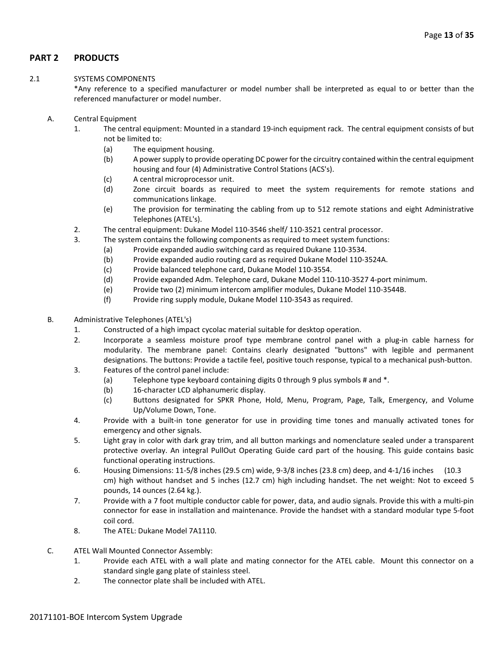# **PART 2 PRODUCTS**

#### 2.1 SYSTEMS COMPONENTS

\*Any reference to a specified manufacturer or model number shall be interpreted as equal to or better than the referenced manufacturer or model number.

- A. Central Equipment
	- 1. The central equipment: Mounted in a standard 19-inch equipment rack. The central equipment consists of but not be limited to:
		- (a) The equipment housing.
		- (b) A power supply to provide operating DC power for the circuitry contained within the central equipment housing and four (4) Administrative Control Stations (ACS's).
		- (c) A central microprocessor unit.
		- (d) Zone circuit boards as required to meet the system requirements for remote stations and communications linkage.
		- (e) The provision for terminating the cabling from up to 512 remote stations and eight Administrative Telephones (ATEL's).
	- 2. The central equipment: Dukane Model 110-3546 shelf/ 110-3521 central processor.
	- 3. The system contains the following components as required to meet system functions:
		- (a) Provide expanded audio switching card as required Dukane 110-3534.
		- (b) Provide expanded audio routing card as required Dukane Model 110-3524A.
		- (c) Provide balanced telephone card, Dukane Model 110-3554.
		- (d) Provide expanded Adm. Telephone card, Dukane Model 110-110-3527 4-port minimum.
		- (e) Provide two (2) minimum intercom amplifier modules, Dukane Model 110-3544B.
		- (f) Provide ring supply module, Dukane Model 110-3543 as required.
- B. Administrative Telephones (ATEL's)
	- 1. Constructed of a high impact cycolac material suitable for desktop operation.
	- 2. Incorporate a seamless moisture proof type membrane control panel with a plug-in cable harness for modularity. The membrane panel: Contains clearly designated "buttons" with legible and permanent designations. The buttons: Provide a tactile feel, positive touch response, typical to a mechanical push-button.
	- 3. Features of the control panel include:
		- (a) Telephone type keyboard containing digits 0 through 9 plus symbols # and \*.
		- (b) 16-character LCD alphanumeric display.
		- (c) Buttons designated for SPKR Phone, Hold, Menu, Program, Page, Talk, Emergency, and Volume Up/Volume Down, Tone.
	- 4. Provide with a built-in tone generator for use in providing time tones and manually activated tones for emergency and other signals.
	- 5. Light gray in color with dark gray trim, and all button markings and nomenclature sealed under a transparent protective overlay. An integral PullOut Operating Guide card part of the housing. This guide contains basic functional operating instructions.
	- 6. Housing Dimensions: 11-5/8 inches (29.5 cm) wide, 9-3/8 inches (23.8 cm) deep, and 4-1/16 inches (10.3 cm) high without handset and 5 inches (12.7 cm) high including handset. The net weight: Not to exceed 5 pounds, 14 ounces (2.64 kg.).
	- 7. Provide with a 7 foot multiple conductor cable for power, data, and audio signals. Provide this with a multi-pin connector for ease in installation and maintenance. Provide the handset with a standard modular type 5-foot coil cord.
	- 8. The ATEL: Dukane Model 7A1110.
- C. ATEL Wall Mounted Connector Assembly:
	- 1. Provide each ATEL with a wall plate and mating connector for the ATEL cable. Mount this connector on a standard single gang plate of stainless steel.
	- 2. The connector plate shall be included with ATEL.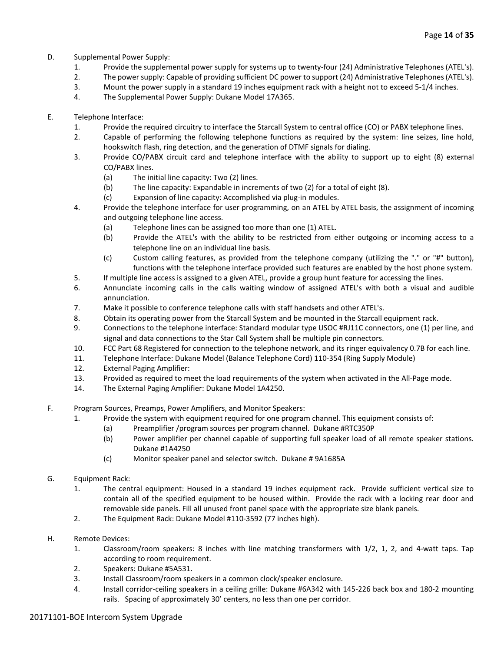- D. Supplemental Power Supply:
	- 1. Provide the supplemental power supply for systems up to twenty-four (24) Administrative Telephones (ATEL's).
	- 2. The power supply: Capable of providing sufficient DC power to support (24) Administrative Telephones (ATEL's).
	- 3. Mount the power supply in a standard 19 inches equipment rack with a height not to exceed 5-1/4 inches.
	- 4. The Supplemental Power Supply: Dukane Model 17A365.
- E. Telephone Interface:
	- 1. Provide the required circuitry to interface the Starcall System to central office (CO) or PABX telephone lines.
	- 2. Capable of performing the following telephone functions as required by the system: line seizes, line hold, hookswitch flash, ring detection, and the generation of DTMF signals for dialing.
	- 3. Provide CO/PABX circuit card and telephone interface with the ability to support up to eight (8) external CO/PABX lines.
		- (a) The initial line capacity: Two (2) lines.
		- (b) The line capacity: Expandable in increments of two (2) for a total of eight (8).
		- (c) Expansion of line capacity: Accomplished via plug-in modules.
	- 4. Provide the telephone interface for user programming, on an ATEL by ATEL basis, the assignment of incoming and outgoing telephone line access.
		- (a) Telephone lines can be assigned too more than one (1) ATEL.
		- (b) Provide the ATEL's with the ability to be restricted from either outgoing or incoming access to a telephone line on an individual line basis.
		- (c) Custom calling features, as provided from the telephone company (utilizing the "." or "#" button), functions with the telephone interface provided such features are enabled by the host phone system.
	- 5. If multiple line access is assigned to a given ATEL, provide a group hunt feature for accessing the lines.
	- 6. Annunciate incoming calls in the calls waiting window of assigned ATEL's with both a visual and audible annunciation.
	- 7. Make it possible to conference telephone calls with staff handsets and other ATEL's.
	- 8. Obtain its operating power from the Starcall System and be mounted in the Starcall equipment rack.
	- 9. Connections to the telephone interface: Standard modular type USOC #RJ11C connectors, one (1) per line, and signal and data connections to the Star Call System shall be multiple pin connectors.
	- 10. FCC Part 68 Registered for connection to the telephone network, and its ringer equivalency 0.7B for each line.
	- 11. Telephone Interface: Dukane Model (Balance Telephone Cord) 110-354 (Ring Supply Module)
	- 12. External Paging Amplifier:
	- 13. Provided as required to meet the load requirements of the system when activated in the All-Page mode.
	- 14. The External Paging Amplifier: Dukane Model 1A4250.
- F. Program Sources, Preamps, Power Amplifiers, and Monitor Speakers:
	- 1. Provide the system with equipment required for one program channel. This equipment consists of:
		- (a) Preamplifier /program sources per program channel. Dukane #RTC350P
		- (b) Power amplifier per channel capable of supporting full speaker load of all remote speaker stations. Dukane #1A4250
		- (c) Monitor speaker panel and selector switch. Dukane # 9A1685A
- G. Equipment Rack:
	- 1. The central equipment: Housed in a standard 19 inches equipment rack. Provide sufficient vertical size to contain all of the specified equipment to be housed within. Provide the rack with a locking rear door and removable side panels. Fill all unused front panel space with the appropriate size blank panels.
	- 2. The Equipment Rack: Dukane Model #110-3592 (77 inches high).
- H. Remote Devices:
	- 1. Classroom/room speakers: 8 inches with line matching transformers with 1/2, 1, 2, and 4-watt taps. Tap according to room requirement.
	- 2. Speakers: Dukane #5A531.
	- 3. Install Classroom/room speakers in a common clock/speaker enclosure.
	- 4. Install corridor-ceiling speakers in a ceiling grille: Dukane #6A342 with 145-226 back box and 180-2 mounting rails. Spacing of approximately 30' centers, no less than one per corridor.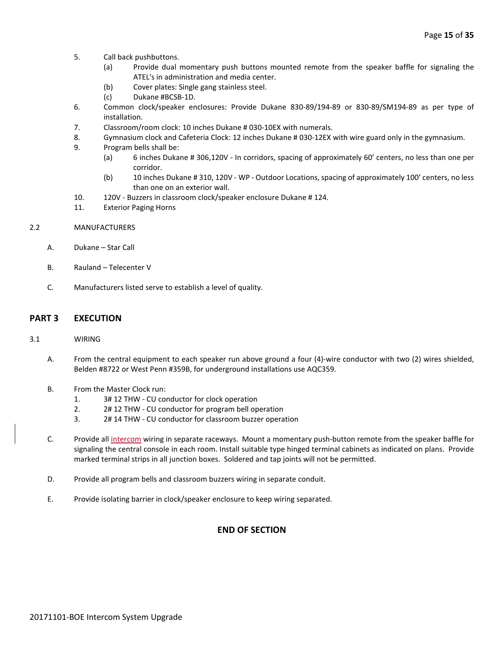- 5. Call back pushbuttons.
	- (a) Provide dual momentary push buttons mounted remote from the speaker baffle for signaling the ATEL's in administration and media center.
	- (b) Cover plates: Single gang stainless steel.
	- (c) Dukane #BCSB-1D.
- 6. Common clock/speaker enclosures: Provide Dukane 830-89/194-89 or 830-89/SM194-89 as per type of installation.
- 7. Classroom/room clock: 10 inches Dukane # 030-10EX with numerals.
- 8. Gymnasium clock and Cafeteria Clock: 12 inches Dukane # 030-12EX with wire guard only in the gymnasium.
- 9. Program bells shall be:
	- (a) 6 inches Dukane # 306,120V In corridors, spacing of approximately 60' centers, no less than one per corridor.
	- (b) 10 inches Dukane # 310, 120V WP Outdoor Locations, spacing of approximately 100' centers, no less than one on an exterior wall.
- 10. 120V Buzzers in classroom clock/speaker enclosure Dukane # 124.
- 11. Exterior Paging Horns

#### 2.2 MANUFACTURERS

- A. Dukane Star Call
- B. Rauland Telecenter V
- C. Manufacturers listed serve to establish a level of quality.

#### **PART 3 EXECUTION**

#### 3.1 WIRING

- A. From the central equipment to each speaker run above ground a four (4)-wire conductor with two (2) wires shielded, Belden #8722 or West Penn #359B, for underground installations use AQC359.
- B. From the Master Clock run:
	- 1. 3# 12 THW CU conductor for clock operation
	- 2. 2# 12 THW CU conductor for program bell operation
	- 3. 2# 14 THW CU conductor for classroom buzzer operation
- C. Provide all intercom wiring in separate raceways. Mount a momentary push-button remote from the speaker baffle for signaling the central console in each room. Install suitable type hinged terminal cabinets as indicated on plans. Provide marked terminal strips in all junction boxes. Soldered and tap joints will not be permitted.
- D. Provide all program bells and classroom buzzers wiring in separate conduit.
- E. Provide isolating barrier in clock/speaker enclosure to keep wiring separated.

# **END OF SECTION**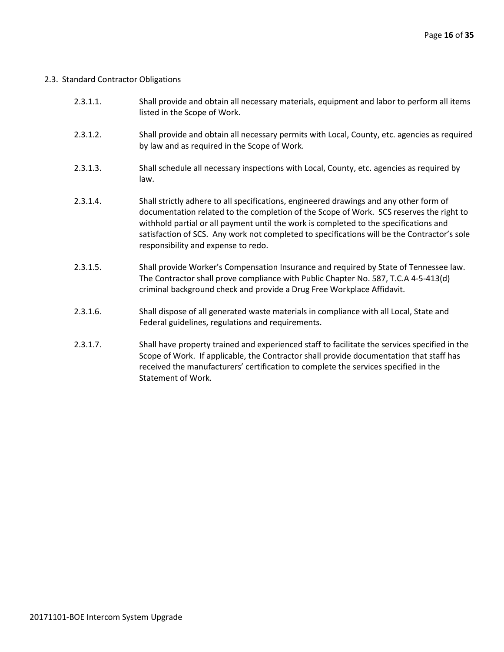# 2.3. Standard Contractor Obligations

| 2.3.1.1. | Shall provide and obtain all necessary materials, equipment and labor to perform all items<br>listed in the Scope of Work.                                                                                                                                                                                                                                                                                       |
|----------|------------------------------------------------------------------------------------------------------------------------------------------------------------------------------------------------------------------------------------------------------------------------------------------------------------------------------------------------------------------------------------------------------------------|
| 2.3.1.2. | Shall provide and obtain all necessary permits with Local, County, etc. agencies as required<br>by law and as required in the Scope of Work.                                                                                                                                                                                                                                                                     |
| 2.3.1.3. | Shall schedule all necessary inspections with Local, County, etc. agencies as required by<br>law.                                                                                                                                                                                                                                                                                                                |
| 2.3.1.4. | Shall strictly adhere to all specifications, engineered drawings and any other form of<br>documentation related to the completion of the Scope of Work. SCS reserves the right to<br>withhold partial or all payment until the work is completed to the specifications and<br>satisfaction of SCS. Any work not completed to specifications will be the Contractor's sole<br>responsibility and expense to redo. |
| 2.3.1.5. | Shall provide Worker's Compensation Insurance and required by State of Tennessee law.<br>The Contractor shall prove compliance with Public Chapter No. 587, T.C.A 4-5-413(d)<br>criminal background check and provide a Drug Free Workplace Affidavit.                                                                                                                                                           |
| 2.3.1.6. | Shall dispose of all generated waste materials in compliance with all Local, State and<br>Federal guidelines, regulations and requirements.                                                                                                                                                                                                                                                                      |
| 2.3.1.7. | Shall have property trained and experienced staff to facilitate the services specified in the                                                                                                                                                                                                                                                                                                                    |

Scope of Work. If applicable, the Contractor shall provide documentation that staff has received the manufacturers' certification to complete the services specified in the Statement of Work.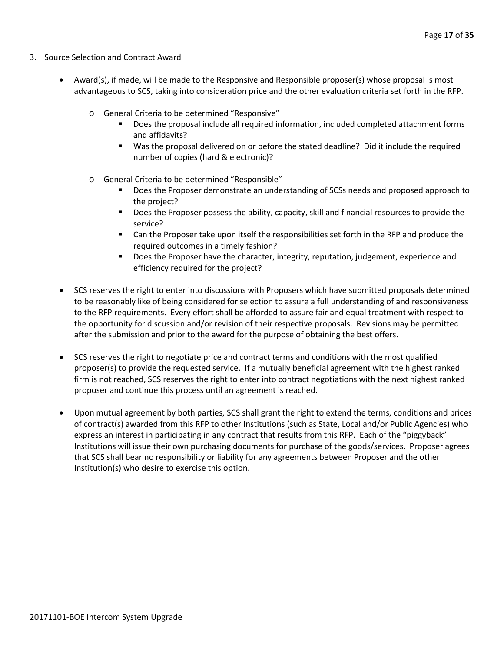- 3. Source Selection and Contract Award
	- Award(s), if made, will be made to the Responsive and Responsible proposer(s) whose proposal is most advantageous to SCS, taking into consideration price and the other evaluation criteria set forth in the RFP.
		- o General Criteria to be determined "Responsive"
			- Does the proposal include all required information, included completed attachment forms and affidavits?
			- Was the proposal delivered on or before the stated deadline? Did it include the required number of copies (hard & electronic)?
		- o General Criteria to be determined "Responsible"
			- Does the Proposer demonstrate an understanding of SCSs needs and proposed approach to the project?
			- **Does the Proposer possess the ability, capacity, skill and financial resources to provide the** service?
			- Can the Proposer take upon itself the responsibilities set forth in the RFP and produce the required outcomes in a timely fashion?
			- **Does the Proposer have the character, integrity, reputation, judgement, experience and** efficiency required for the project?
	- SCS reserves the right to enter into discussions with Proposers which have submitted proposals determined to be reasonably like of being considered for selection to assure a full understanding of and responsiveness to the RFP requirements. Every effort shall be afforded to assure fair and equal treatment with respect to the opportunity for discussion and/or revision of their respective proposals. Revisions may be permitted after the submission and prior to the award for the purpose of obtaining the best offers.
	- SCS reserves the right to negotiate price and contract terms and conditions with the most qualified proposer(s) to provide the requested service. If a mutually beneficial agreement with the highest ranked firm is not reached, SCS reserves the right to enter into contract negotiations with the next highest ranked proposer and continue this process until an agreement is reached.
	- Upon mutual agreement by both parties, SCS shall grant the right to extend the terms, conditions and prices of contract(s) awarded from this RFP to other Institutions (such as State, Local and/or Public Agencies) who express an interest in participating in any contract that results from this RFP. Each of the "piggyback" Institutions will issue their own purchasing documents for purchase of the goods/services. Proposer agrees that SCS shall bear no responsibility or liability for any agreements between Proposer and the other Institution(s) who desire to exercise this option.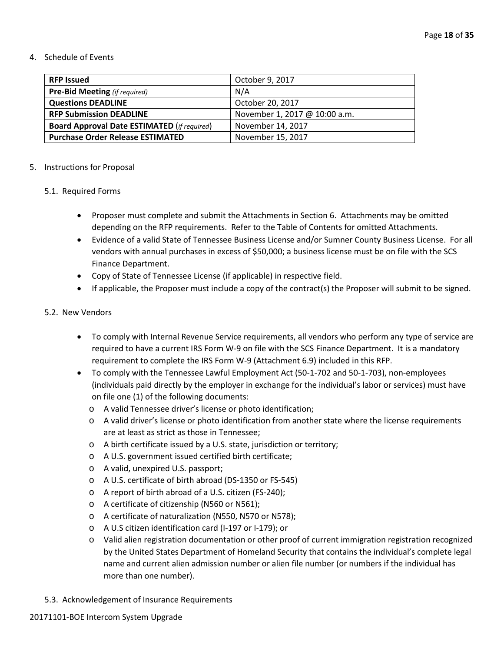#### 4. Schedule of Events

| <b>RFP Issued</b>                                  | October 9, 2017               |
|----------------------------------------------------|-------------------------------|
| <b>Pre-Bid Meeting</b> (if required)               | N/A                           |
| <b>Questions DEADLINE</b>                          | October 20, 2017              |
| <b>RFP Submission DEADLINE</b>                     | November 1, 2017 @ 10:00 a.m. |
| <b>Board Approval Date ESTIMATED (if required)</b> | November 14, 2017             |
| <b>Purchase Order Release ESTIMATED</b>            | November 15, 2017             |

#### 5. Instructions for Proposal

## 5.1. Required Forms

- Proposer must complete and submit the Attachments in Section 6. Attachments may be omitted depending on the RFP requirements. Refer to the Table of Contents for omitted Attachments.
- Evidence of a valid State of Tennessee Business License and/or Sumner County Business License. For all vendors with annual purchases in excess of \$50,000; a business license must be on file with the SCS Finance Department.
- Copy of State of Tennessee License (if applicable) in respective field.
- If applicable, the Proposer must include a copy of the contract(s) the Proposer will submit to be signed.

#### 5.2. New Vendors

- To comply with Internal Revenue Service requirements, all vendors who perform any type of service are required to have a current IRS Form W-9 on file with the SCS Finance Department. It is a mandatory requirement to complete the IRS Form W-9 (Attachment 6.9) included in this RFP.
- To comply with the Tennessee Lawful Employment Act (50-1-702 and 50-1-703), non-employees (individuals paid directly by the employer in exchange for the individual's labor or services) must have on file one (1) of the following documents:
	- o A valid Tennessee driver's license or photo identification;
	- o A valid driver's license or photo identification from another state where the license requirements are at least as strict as those in Tennessee;
	- o A birth certificate issued by a U.S. state, jurisdiction or territory;
	- o A U.S. government issued certified birth certificate;
	- o A valid, unexpired U.S. passport;
	- o A U.S. certificate of birth abroad (DS-1350 or FS-545)
	- o A report of birth abroad of a U.S. citizen (FS-240);
	- o A certificate of citizenship (N560 or N561);
	- o A certificate of naturalization (N550, N570 or N578);
	- o A U.S citizen identification card (I-197 or I-179); or
	- o Valid alien registration documentation or other proof of current immigration registration recognized by the United States Department of Homeland Security that contains the individual's complete legal name and current alien admission number or alien file number (or numbers if the individual has more than one number).
- 5.3. Acknowledgement of Insurance Requirements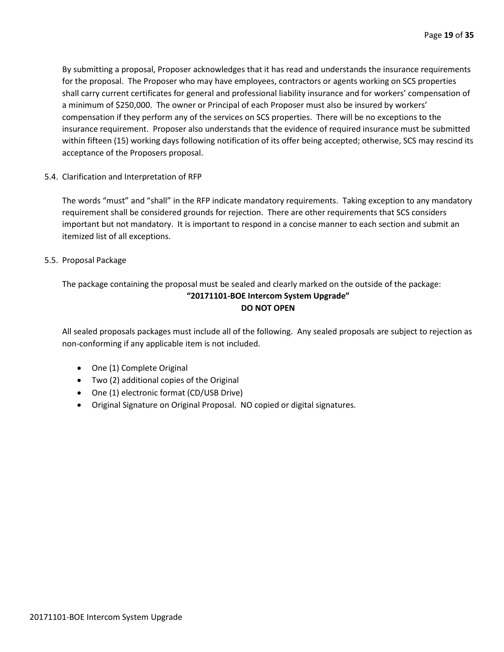By submitting a proposal, Proposer acknowledges that it has read and understands the insurance requirements for the proposal. The Proposer who may have employees, contractors or agents working on SCS properties shall carry current certificates for general and professional liability insurance and for workers' compensation of a minimum of \$250,000. The owner or Principal of each Proposer must also be insured by workers' compensation if they perform any of the services on SCS properties. There will be no exceptions to the insurance requirement. Proposer also understands that the evidence of required insurance must be submitted within fifteen (15) working days following notification of its offer being accepted; otherwise, SCS may rescind its acceptance of the Proposers proposal.

5.4. Clarification and Interpretation of RFP

The words "must" and "shall" in the RFP indicate mandatory requirements. Taking exception to any mandatory requirement shall be considered grounds for rejection. There are other requirements that SCS considers important but not mandatory. It is important to respond in a concise manner to each section and submit an itemized list of all exceptions.

5.5. Proposal Package

# The package containing the proposal must be sealed and clearly marked on the outside of the package: **"20171101-BOE Intercom System Upgrade" DO NOT OPEN**

All sealed proposals packages must include all of the following. Any sealed proposals are subject to rejection as non-conforming if any applicable item is not included.

- One (1) Complete Original
- Two (2) additional copies of the Original
- One (1) electronic format (CD/USB Drive)
- Original Signature on Original Proposal. NO copied or digital signatures.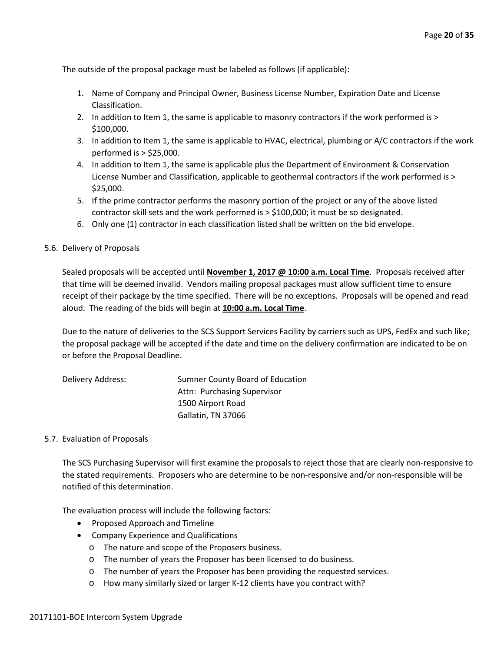The outside of the proposal package must be labeled as follows (if applicable):

- 1. Name of Company and Principal Owner, Business License Number, Expiration Date and License Classification.
- 2. In addition to Item 1, the same is applicable to masonry contractors if the work performed is > \$100,000.
- 3. In addition to Item 1, the same is applicable to HVAC, electrical, plumbing or A/C contractors if the work performed is > \$25,000.
- 4. In addition to Item 1, the same is applicable plus the Department of Environment & Conservation License Number and Classification, applicable to geothermal contractors if the work performed is > \$25,000.
- 5. If the prime contractor performs the masonry portion of the project or any of the above listed contractor skill sets and the work performed is > \$100,000; it must be so designated.
- 6. Only one (1) contractor in each classification listed shall be written on the bid envelope.

#### 5.6. Delivery of Proposals

Sealed proposals will be accepted until **November 1, 2017 @ 10:00 a.m. Local Time**. Proposals received after that time will be deemed invalid. Vendors mailing proposal packages must allow sufficient time to ensure receipt of their package by the time specified. There will be no exceptions. Proposals will be opened and read aloud. The reading of the bids will begin at **10:00 a.m. Local Time**.

Due to the nature of deliveries to the SCS Support Services Facility by carriers such as UPS, FedEx and such like; the proposal package will be accepted if the date and time on the delivery confirmation are indicated to be on or before the Proposal Deadline.

| Delivery Address: | Sumner County Board of Education |
|-------------------|----------------------------------|
|                   | Attn: Purchasing Supervisor      |
|                   | 1500 Airport Road                |
|                   | Gallatin, TN 37066               |

## 5.7. Evaluation of Proposals

The SCS Purchasing Supervisor will first examine the proposals to reject those that are clearly non-responsive to the stated requirements. Proposers who are determine to be non-responsive and/or non-responsible will be notified of this determination.

The evaluation process will include the following factors:

- Proposed Approach and Timeline
- Company Experience and Qualifications
	- o The nature and scope of the Proposers business.
	- o The number of years the Proposer has been licensed to do business.
	- o The number of years the Proposer has been providing the requested services.
	- o How many similarly sized or larger K-12 clients have you contract with?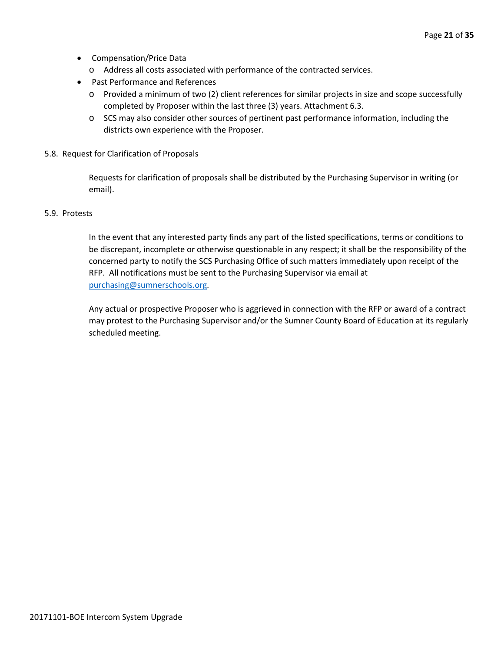- Compensation/Price Data
	- o Address all costs associated with performance of the contracted services.
- Past Performance and References
	- o Provided a minimum of two (2) client references for similar projects in size and scope successfully completed by Proposer within the last three (3) years. Attachment 6.3.
	- o SCS may also consider other sources of pertinent past performance information, including the districts own experience with the Proposer.
- 5.8. Request for Clarification of Proposals

Requests for clarification of proposals shall be distributed by the Purchasing Supervisor in writing (or email).

#### 5.9. Protests

In the event that any interested party finds any part of the listed specifications, terms or conditions to be discrepant, incomplete or otherwise questionable in any respect; it shall be the responsibility of the concerned party to notify the SCS Purchasing Office of such matters immediately upon receipt of the RFP. All notifications must be sent to the Purchasing Supervisor via email at [purchasing@sumnerschools.org.](mailto:purchasing@sumnerschools.org)

Any actual or prospective Proposer who is aggrieved in connection with the RFP or award of a contract may protest to the Purchasing Supervisor and/or the Sumner County Board of Education at its regularly scheduled meeting.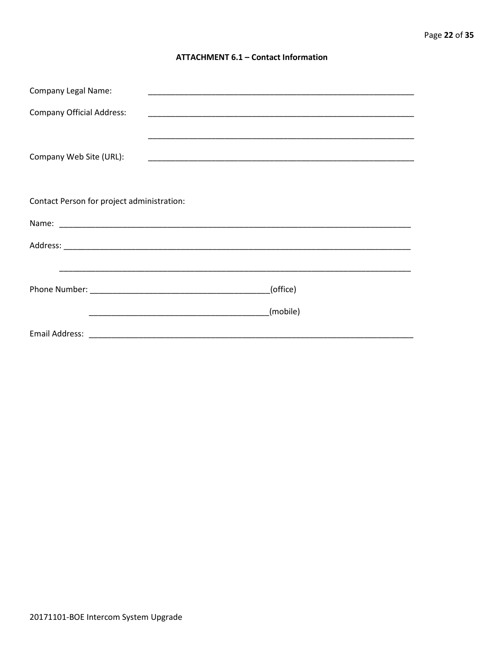## **ATTACHMENT 6.1 - Contact Information**

| <b>Company Legal Name:</b>                 |          |
|--------------------------------------------|----------|
| <b>Company Official Address:</b>           |          |
|                                            |          |
| Company Web Site (URL):                    |          |
|                                            |          |
| Contact Person for project administration: |          |
|                                            |          |
|                                            |          |
|                                            |          |
|                                            | (office) |
|                                            | (mobile) |
|                                            |          |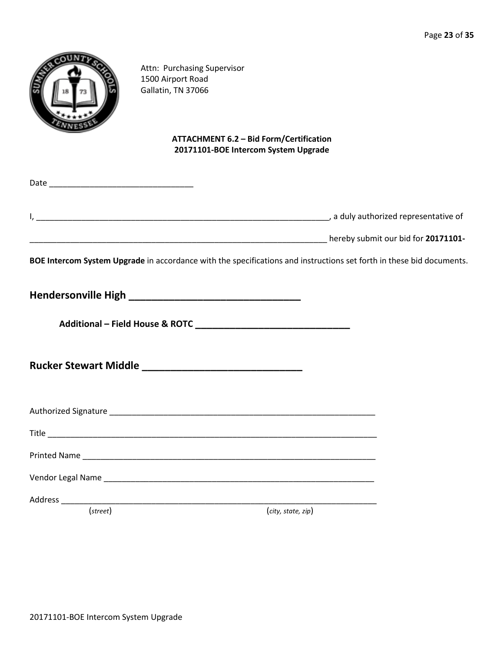|                   | Attn: Purchasing Supervisor<br>1500 Airport Road<br>Gallatin, TN 37066 |                                                                                                                      |  |
|-------------------|------------------------------------------------------------------------|----------------------------------------------------------------------------------------------------------------------|--|
|                   |                                                                        | <b>ATTACHMENT 6.2 - Bid Form/Certification</b><br>20171101-BOE Intercom System Upgrade                               |  |
|                   |                                                                        |                                                                                                                      |  |
|                   |                                                                        |                                                                                                                      |  |
|                   |                                                                        |                                                                                                                      |  |
|                   |                                                                        | BOE Intercom System Upgrade in accordance with the specifications and instructions set forth in these bid documents. |  |
|                   |                                                                        |                                                                                                                      |  |
|                   |                                                                        |                                                                                                                      |  |
|                   |                                                                        |                                                                                                                      |  |
|                   |                                                                        |                                                                                                                      |  |
|                   |                                                                        |                                                                                                                      |  |
|                   |                                                                        |                                                                                                                      |  |
|                   |                                                                        |                                                                                                                      |  |
|                   |                                                                        |                                                                                                                      |  |
| $(\text{street})$ |                                                                        | (city, state, zip)                                                                                                   |  |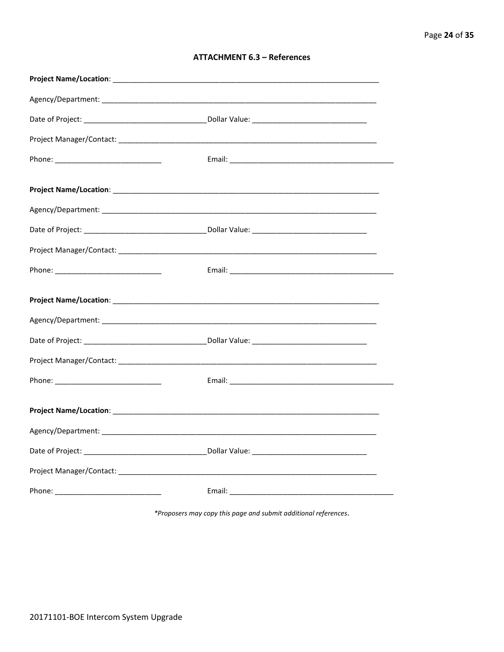| <b>ATTACHMENT 6.3 - References</b> |  |  |
|------------------------------------|--|--|
|------------------------------------|--|--|

\*Proposers may copy this page and submit additional references.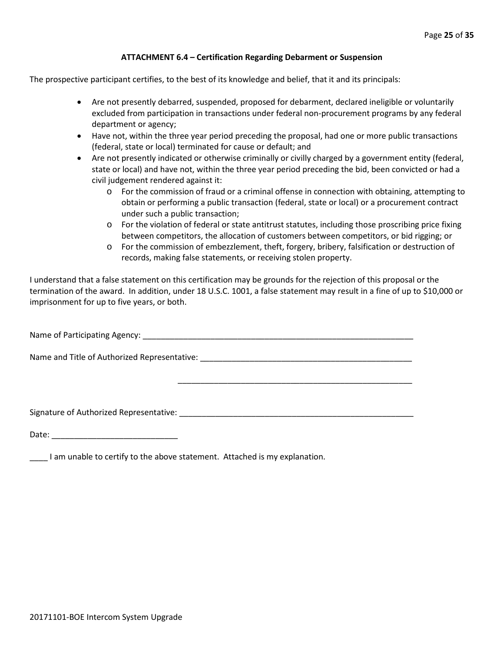#### **ATTACHMENT 6.4 – Certification Regarding Debarment or Suspension**

The prospective participant certifies, to the best of its knowledge and belief, that it and its principals:

- Are not presently debarred, suspended, proposed for debarment, declared ineligible or voluntarily excluded from participation in transactions under federal non-procurement programs by any federal department or agency;
- Have not, within the three year period preceding the proposal, had one or more public transactions (federal, state or local) terminated for cause or default; and
- Are not presently indicated or otherwise criminally or civilly charged by a government entity (federal, state or local) and have not, within the three year period preceding the bid, been convicted or had a civil judgement rendered against it:
	- o For the commission of fraud or a criminal offense in connection with obtaining, attempting to obtain or performing a public transaction (federal, state or local) or a procurement contract under such a public transaction;
	- o For the violation of federal or state antitrust statutes, including those proscribing price fixing between competitors, the allocation of customers between competitors, or bid rigging; or
	- o For the commission of embezzlement, theft, forgery, bribery, falsification or destruction of records, making false statements, or receiving stolen property.

\_\_\_\_\_\_\_\_\_\_\_\_\_\_\_\_\_\_\_\_\_\_\_\_\_\_\_\_\_\_\_\_\_\_\_\_\_\_\_\_\_\_\_\_\_\_\_\_\_\_\_\_

I understand that a false statement on this certification may be grounds for the rejection of this proposal or the termination of the award. In addition, under 18 U.S.C. 1001, a false statement may result in a fine of up to \$10,000 or imprisonment for up to five years, or both.

Name of Participating Agency: \_\_\_\_\_\_\_\_\_\_\_\_\_\_\_\_\_\_\_\_\_\_\_\_\_\_\_\_\_\_\_\_\_\_\_\_\_\_\_\_\_\_\_\_\_\_\_\_\_\_\_\_\_\_\_\_\_\_\_\_

Name and Title of Authorized Representative: \_\_\_\_\_\_\_\_\_\_\_\_\_\_\_\_\_\_\_\_\_\_\_\_\_\_\_\_\_\_\_\_\_\_\_\_\_\_\_\_\_\_\_\_\_\_\_

Signature of Authorized Representative: \_\_\_\_\_\_\_\_\_\_\_\_\_\_\_\_\_\_\_\_\_\_\_\_\_\_\_\_\_\_\_\_\_\_\_\_\_\_\_\_\_\_\_\_\_\_\_\_\_\_\_\_

Date: \_\_\_\_\_\_\_\_\_\_\_\_\_\_\_\_\_\_\_\_\_\_\_\_\_\_\_\_

\_\_\_\_ I am unable to certify to the above statement. Attached is my explanation.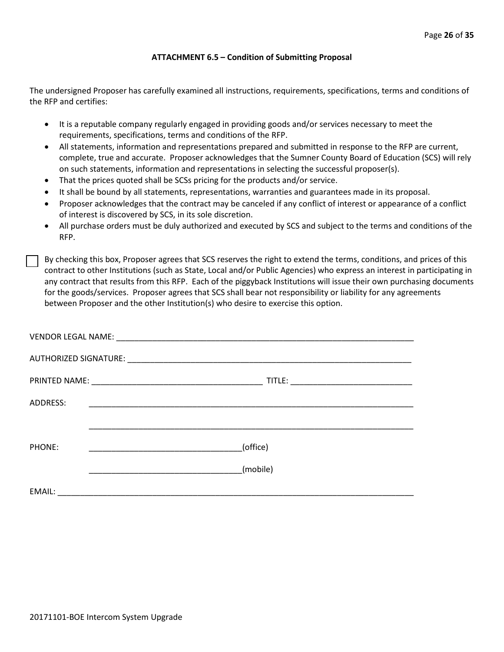#### **ATTACHMENT 6.5 – Condition of Submitting Proposal**

The undersigned Proposer has carefully examined all instructions, requirements, specifications, terms and conditions of the RFP and certifies:

- It is a reputable company regularly engaged in providing goods and/or services necessary to meet the requirements, specifications, terms and conditions of the RFP.
- All statements, information and representations prepared and submitted in response to the RFP are current, complete, true and accurate. Proposer acknowledges that the Sumner County Board of Education (SCS) will rely on such statements, information and representations in selecting the successful proposer(s).
- That the prices quoted shall be SCSs pricing for the products and/or service.
- It shall be bound by all statements, representations, warranties and guarantees made in its proposal.
- Proposer acknowledges that the contract may be canceled if any conflict of interest or appearance of a conflict of interest is discovered by SCS, in its sole discretion.
- All purchase orders must be duly authorized and executed by SCS and subject to the terms and conditions of the RFP.

By checking this box, Proposer agrees that SCS reserves the right to extend the terms, conditions, and prices of this contract to other Institutions (such as State, Local and/or Public Agencies) who express an interest in participating in any contract that results from this RFP. Each of the piggyback Institutions will issue their own purchasing documents for the goods/services. Proposer agrees that SCS shall bear not responsibility or liability for any agreements between Proposer and the other Institution(s) who desire to exercise this option.

| ADDRESS: |          |
|----------|----------|
|          |          |
| PHONE:   | (office) |
|          | (mobile) |
| EMAIL:   |          |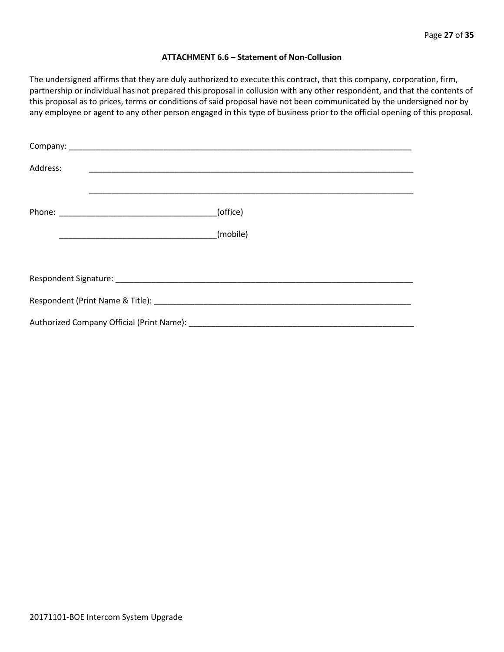#### **ATTACHMENT 6.6 – Statement of Non-Collusion**

The undersigned affirms that they are duly authorized to execute this contract, that this company, corporation, firm, partnership or individual has not prepared this proposal in collusion with any other respondent, and that the contents of this proposal as to prices, terms or conditions of said proposal have not been communicated by the undersigned nor by any employee or agent to any other person engaged in this type of business prior to the official opening of this proposal.

| Address: |          |
|----------|----------|
|          | (office) |
|          |          |
|          |          |
|          |          |
|          |          |
|          |          |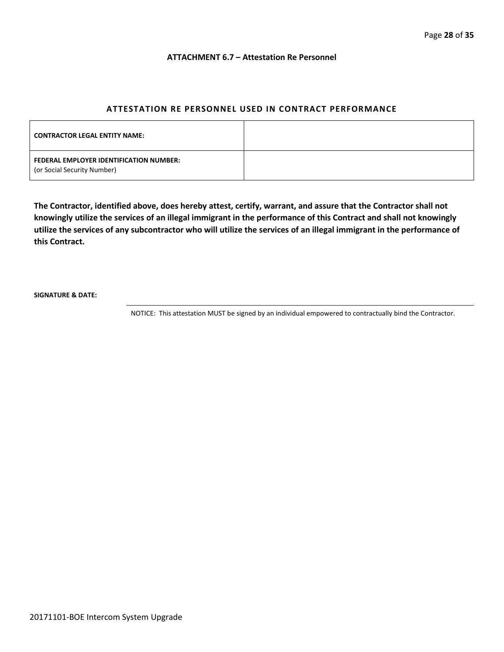#### **ATTACHMENT 6.7 – Attestation Re Personnel**

# **ATTESTATION RE PERSONNEL USED IN CONTRACT PERFORMANCE**

| <b>CONTRACTOR LEGAL ENTITY NAME:</b>                                   |  |
|------------------------------------------------------------------------|--|
| FEDERAL EMPLOYER IDENTIFICATION NUMBER:<br>(or Social Security Number) |  |

**The Contractor, identified above, does hereby attest, certify, warrant, and assure that the Contractor shall not knowingly utilize the services of an illegal immigrant in the performance of this Contract and shall not knowingly utilize the services of any subcontractor who will utilize the services of an illegal immigrant in the performance of this Contract.**

**SIGNATURE & DATE:**

NOTICE: This attestation MUST be signed by an individual empowered to contractually bind the Contractor.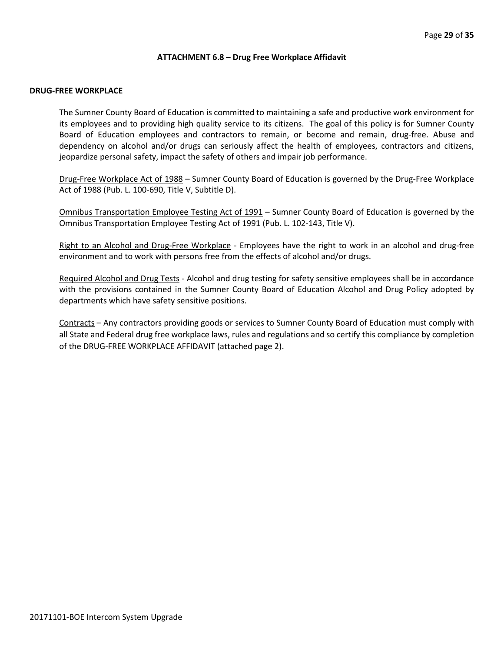#### **ATTACHMENT 6.8 – Drug Free Workplace Affidavit**

#### **DRUG-FREE WORKPLACE**

The Sumner County Board of Education is committed to maintaining a safe and productive work environment for its employees and to providing high quality service to its citizens. The goal of this policy is for Sumner County Board of Education employees and contractors to remain, or become and remain, drug-free. Abuse and dependency on alcohol and/or drugs can seriously affect the health of employees, contractors and citizens, jeopardize personal safety, impact the safety of others and impair job performance.

Drug-Free Workplace Act of 1988 – Sumner County Board of Education is governed by the Drug-Free Workplace Act of 1988 (Pub. L. 100-690, Title V, Subtitle D).

Omnibus Transportation Employee Testing Act of 1991 – Sumner County Board of Education is governed by the Omnibus Transportation Employee Testing Act of 1991 (Pub. L. 102-143, Title V).

Right to an Alcohol and Drug-Free Workplace - Employees have the right to work in an alcohol and drug-free environment and to work with persons free from the effects of alcohol and/or drugs.

Required Alcohol and Drug Tests - Alcohol and drug testing for safety sensitive employees shall be in accordance with the provisions contained in the Sumner County Board of Education Alcohol and Drug Policy adopted by departments which have safety sensitive positions.

Contracts – Any contractors providing goods or services to Sumner County Board of Education must comply with all State and Federal drug free workplace laws, rules and regulations and so certify this compliance by completion of the DRUG-FREE WORKPLACE AFFIDAVIT (attached page 2).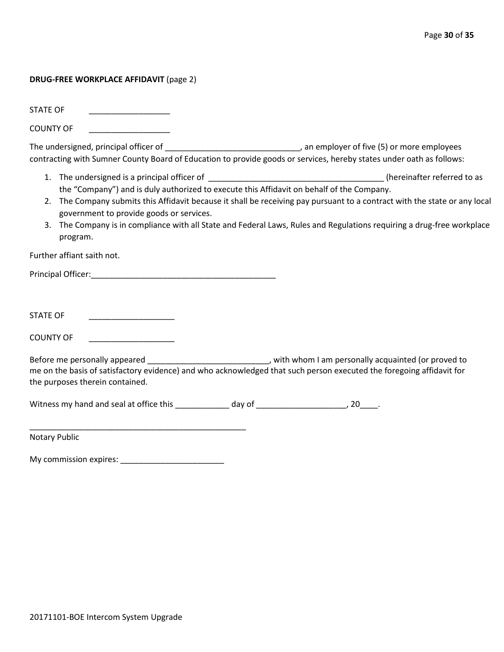## **DRUG-FREE WORKPLACE AFFIDAVIT** (page 2)

STATE OF

COUNTY OF \_\_\_\_\_\_\_\_\_\_\_\_\_\_\_\_\_\_

The undersigned, principal officer of \_\_\_\_\_\_\_\_\_\_\_\_\_\_\_\_\_\_\_\_\_\_\_\_\_\_\_\_\_\_\_\_\_\_, an employer of five (5) or more employees contracting with Sumner County Board of Education to provide goods or services, hereby states under oath as follows:

- 1. The undersigned is a principal officer of the state of the state of the state of the state of the state of to as the "Company") and is duly authorized to execute this Affidavit on behalf of the Company.
- 2. The Company submits this Affidavit because it shall be receiving pay pursuant to a contract with the state or any local government to provide goods or services.
- 3. The Company is in compliance with all State and Federal Laws, Rules and Regulations requiring a drug-free workplace program.

Further affiant saith not.

Principal Officer:\_\_\_\_\_\_\_\_\_\_\_\_\_\_\_\_\_\_\_\_\_\_\_\_\_\_\_\_\_\_\_\_\_\_\_\_\_\_\_\_\_

STATE OF \_\_\_\_\_\_\_\_\_\_\_\_\_\_\_\_\_\_\_

COUNTY OF

Before me personally appeared \_\_\_\_\_\_\_\_\_\_\_\_\_\_\_\_\_\_\_\_\_\_\_\_\_\_\_\_\_\_, with whom I am personally acquainted (or proved to me on the basis of satisfactory evidence) and who acknowledged that such person executed the foregoing affidavit for the purposes therein contained.

Witness my hand and seal at office this \_\_\_\_\_\_\_\_\_\_\_\_\_ day of \_\_\_\_\_\_\_\_\_\_\_\_\_\_\_\_\_\_\_\_, 20\_\_\_\_.

Notary Public

My commission expires: \_\_\_\_\_\_\_\_\_\_\_\_\_\_\_\_\_\_\_\_\_\_\_

\_\_\_\_\_\_\_\_\_\_\_\_\_\_\_\_\_\_\_\_\_\_\_\_\_\_\_\_\_\_\_\_\_\_\_\_\_\_\_\_\_\_\_\_\_\_\_\_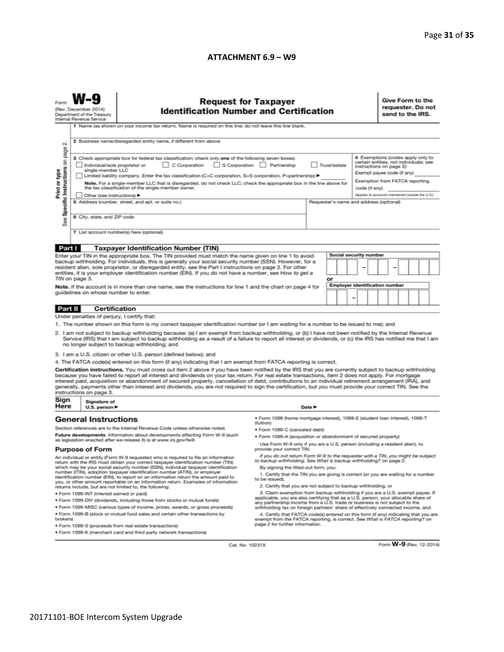#### **ATTACHMENT 6.9 – W9**

| <b>Request for Taxpayer</b><br><b>Identification Number and Certification</b><br>(Rev. December 2014)<br>Department of the Treasury<br>Internal Revenue Service<br>1 Name (as shown on your income tax return). Name is required on this line; do not leave this line blank.<br>2 Business name/disregarded entity name, if different from above                                                                                                                                                                                                                                                                                                                                                                                                                                                                                                                                                                                                                                                                                                                                                                                                                                                                                                                                                                                                                                                              |                                                                                                                                                                                                                                                                                                                                                                                                                                                                                                                                                                                                                                                                                                       |                                                                                                                                                                                                                                                                                                                                                                                                                                                                                                                                                                                                                            |  |        |  |  |  | send to the IRS. |  | Give Form to the<br>requester. Do not |  |  |
|---------------------------------------------------------------------------------------------------------------------------------------------------------------------------------------------------------------------------------------------------------------------------------------------------------------------------------------------------------------------------------------------------------------------------------------------------------------------------------------------------------------------------------------------------------------------------------------------------------------------------------------------------------------------------------------------------------------------------------------------------------------------------------------------------------------------------------------------------------------------------------------------------------------------------------------------------------------------------------------------------------------------------------------------------------------------------------------------------------------------------------------------------------------------------------------------------------------------------------------------------------------------------------------------------------------------------------------------------------------------------------------------------------------|-------------------------------------------------------------------------------------------------------------------------------------------------------------------------------------------------------------------------------------------------------------------------------------------------------------------------------------------------------------------------------------------------------------------------------------------------------------------------------------------------------------------------------------------------------------------------------------------------------------------------------------------------------------------------------------------------------|----------------------------------------------------------------------------------------------------------------------------------------------------------------------------------------------------------------------------------------------------------------------------------------------------------------------------------------------------------------------------------------------------------------------------------------------------------------------------------------------------------------------------------------------------------------------------------------------------------------------------|--|--------|--|--|--|------------------|--|---------------------------------------|--|--|
| $\sim$<br>page<br>4 Exemptions (codes apply only to<br>3 Check appropriate box for federal tax classification; check only one of the following seven boxes:<br>Specific Instructions on<br>certain entities, not individuals; see<br>C Corporation S Corporation Partnership<br>Trust/estate<br>Individual/sole proprietor or<br>instructions on page 3):<br>Print or type<br>single-member LLC<br>Exempt payee code (if any)<br>Limited liability company. Enter the tax classification (C=C corporation, S=S corporation, P=partnership) ▶<br>Exemption from FATCA reporting<br>Note. For a single-member LLC that is disregarded, do not check LLC; check the appropriate box in the line above for<br>the tax classification of the single-member owner.<br>code (if any)<br>(Applies to accounts maintained outside the U.S.)<br>Other (see instructions) ▶<br>5 Address (number, street, and apt. or suite no.)<br>Requester's name and address (optional)<br>6 City, state, and ZIP code<br>æ<br>αñ<br>7 List account number(s) here (optional)                                                                                                                                                                                                                                                                                                                                                        |                                                                                                                                                                                                                                                                                                                                                                                                                                                                                                                                                                                                                                                                                                       |                                                                                                                                                                                                                                                                                                                                                                                                                                                                                                                                                                                                                            |  |        |  |  |  |                  |  |                                       |  |  |
| Part I                                                                                                                                                                                                                                                                                                                                                                                                                                                                                                                                                                                                                                                                                                                                                                                                                                                                                                                                                                                                                                                                                                                                                                                                                                                                                                                                                                                                        |                                                                                                                                                                                                                                                                                                                                                                                                                                                                                                                                                                                                                                                                                                       |                                                                                                                                                                                                                                                                                                                                                                                                                                                                                                                                                                                                                            |  |        |  |  |  |                  |  |                                       |  |  |
|                                                                                                                                                                                                                                                                                                                                                                                                                                                                                                                                                                                                                                                                                                                                                                                                                                                                                                                                                                                                                                                                                                                                                                                                                                                                                                                                                                                                               |                                                                                                                                                                                                                                                                                                                                                                                                                                                                                                                                                                                                                                                                                                       | <b>Taxpayer Identification Number (TIN)</b>                                                                                                                                                                                                                                                                                                                                                                                                                                                                                                                                                                                |  |        |  |  |  |                  |  |                                       |  |  |
|                                                                                                                                                                                                                                                                                                                                                                                                                                                                                                                                                                                                                                                                                                                                                                                                                                                                                                                                                                                                                                                                                                                                                                                                                                                                                                                                                                                                               | <b>Social security number</b><br>Enter your TIN in the appropriate box. The TIN provided must match the name given on line 1 to avoid<br>backup withholding. For individuals, this is generally your social security number (SSN). However, for a<br>resident alien, sole proprietor, or disregarded entity, see the Part I instructions on page 3. For other<br>entities, it is your employer identification number (EIN). If you do not have a number, see How to get a<br>TIN on page 3.<br>or<br><b>Employer identification number</b><br>Note. If the account is in more than one name, see the instructions for line 1 and the chart on page 4 for<br>guidelines on whose number to enter.<br>- |                                                                                                                                                                                                                                                                                                                                                                                                                                                                                                                                                                                                                            |  |        |  |  |  |                  |  |                                       |  |  |
|                                                                                                                                                                                                                                                                                                                                                                                                                                                                                                                                                                                                                                                                                                                                                                                                                                                                                                                                                                                                                                                                                                                                                                                                                                                                                                                                                                                                               |                                                                                                                                                                                                                                                                                                                                                                                                                                                                                                                                                                                                                                                                                                       |                                                                                                                                                                                                                                                                                                                                                                                                                                                                                                                                                                                                                            |  |        |  |  |  |                  |  |                                       |  |  |
| Part II                                                                                                                                                                                                                                                                                                                                                                                                                                                                                                                                                                                                                                                                                                                                                                                                                                                                                                                                                                                                                                                                                                                                                                                                                                                                                                                                                                                                       | <b>Certification</b>                                                                                                                                                                                                                                                                                                                                                                                                                                                                                                                                                                                                                                                                                  |                                                                                                                                                                                                                                                                                                                                                                                                                                                                                                                                                                                                                            |  |        |  |  |  |                  |  |                                       |  |  |
| Under penalties of perjury, I certify that:<br>1. The number shown on this form is my correct taxpayer identification number (or I am waiting for a number to be issued to me); and<br>2. I am not subject to backup withholding because: (a) I am exempt from backup withholding, or (b) I have not been notified by the Internal Revenue<br>Service (IRS) that I am subject to backup withholding as a result of a failure to report all interest or dividends, or (c) the IRS has notified me that I am<br>no longer subject to backup withholding; and<br>3. I am a U.S. citizen or other U.S. person (defined below); and<br>4. The FATCA code(s) entered on this form (if any) indicating that I am exempt from FATCA reporting is correct.<br>Certification instructions. You must cross out item 2 above if you have been notified by the IRS that you are currently subject to backup withholding<br>because you have failed to report all interest and dividends on your tax return. For real estate transactions, item 2 does not apply. For mortgage<br>interest paid, acquisition or abandonment of secured property, cancellation of debt, contributions to an individual retirement arrangement (IRA), and<br>generally, payments other than interest and dividends, you are not required to sign the certification, but you must provide your correct TIN. See the<br>instructions on page 3. |                                                                                                                                                                                                                                                                                                                                                                                                                                                                                                                                                                                                                                                                                                       |                                                                                                                                                                                                                                                                                                                                                                                                                                                                                                                                                                                                                            |  |        |  |  |  |                  |  |                                       |  |  |
| Sign                                                                                                                                                                                                                                                                                                                                                                                                                                                                                                                                                                                                                                                                                                                                                                                                                                                                                                                                                                                                                                                                                                                                                                                                                                                                                                                                                                                                          | Signature of                                                                                                                                                                                                                                                                                                                                                                                                                                                                                                                                                                                                                                                                                          |                                                                                                                                                                                                                                                                                                                                                                                                                                                                                                                                                                                                                            |  |        |  |  |  |                  |  |                                       |  |  |
| Here                                                                                                                                                                                                                                                                                                                                                                                                                                                                                                                                                                                                                                                                                                                                                                                                                                                                                                                                                                                                                                                                                                                                                                                                                                                                                                                                                                                                          | U.S. person $\blacktriangleright$                                                                                                                                                                                                                                                                                                                                                                                                                                                                                                                                                                                                                                                                     |                                                                                                                                                                                                                                                                                                                                                                                                                                                                                                                                                                                                                            |  | Date P |  |  |  |                  |  |                                       |  |  |
| · Form 1098 (home mortgage interest), 1098-E (student loan interest), 1098-T<br><b>General Instructions</b><br>(tuition)<br>Section references are to the Internal Revenue Code unless otherwise noted.<br>· Form 1099-C (canceled debt)<br>Future developments. Information about developments affecting Form W-9 (such<br>· Form 1099-A (acquisition or abandonment of secured property)<br>as legislation enacted after we release it) is at www.irs.gov/fw9.<br>Use Form W-9 only if you are a U.S. person (including a resident alien), to                                                                                                                                                                                                                                                                                                                                                                                                                                                                                                                                                                                                                                                                                                                                                                                                                                                               |                                                                                                                                                                                                                                                                                                                                                                                                                                                                                                                                                                                                                                                                                                       |                                                                                                                                                                                                                                                                                                                                                                                                                                                                                                                                                                                                                            |  |        |  |  |  |                  |  |                                       |  |  |
| <b>Purpose of Form</b>                                                                                                                                                                                                                                                                                                                                                                                                                                                                                                                                                                                                                                                                                                                                                                                                                                                                                                                                                                                                                                                                                                                                                                                                                                                                                                                                                                                        |                                                                                                                                                                                                                                                                                                                                                                                                                                                                                                                                                                                                                                                                                                       | provide your correct TIN.                                                                                                                                                                                                                                                                                                                                                                                                                                                                                                                                                                                                  |  |        |  |  |  |                  |  |                                       |  |  |
| An individual or entity (Form W-9 requester) who is required to file an information<br>return with the IRS must obtain your correct taxpayer identification number (TIN)<br>which may be your social security number (SSN), individual taxpayer identification<br>number (ITIN), adoption taxpayer identification number (ATIN), or employer<br>identification number (EIN), to report on an information return the amount paid to<br>you, or other amount reportable on an information return. Examples of information<br>returns include, but are not limited to, the following:<br>· Form 1099-INT (interest earned or paid)<br>. Form 1099-DIV (dividends, including those from stocks or mutual funds)                                                                                                                                                                                                                                                                                                                                                                                                                                                                                                                                                                                                                                                                                                   |                                                                                                                                                                                                                                                                                                                                                                                                                                                                                                                                                                                                                                                                                                       | If you do not return Form W-9 to the requester with a TIN, you might be subject<br>to backup withholding. See What is backup withholding? on page 2.<br>By signing the filled-out form, you:<br>1. Certify that the TIN you are giving is correct (or you are waiting for a number<br>to be issued).<br>2. Certify that you are not subject to backup withholding, or<br>3. Claim exemption from backup withholding if you are a U.S. exempt payee. If<br>applicable, you are also certifying that as a U.S. person, your allocable share of<br>any partnership income from a U.S. trade or business is not subject to the |  |        |  |  |  |                  |  |                                       |  |  |
| * Form 1099-MISC (various types of income, prizes, awards, or gross proceeds)<br>withholding tax on foreign partners' share of effectively connected income, and<br>. Form 1099-B (stock or mutual fund sales and certain other transactions by<br>4. Certify that FATCA code(s) entered on this form (if any) indicating that you are<br>brokers)<br>exempt from the FATCA reporting, is correct. See What is FATCA reporting? on<br>page 2 for further information.<br>· Form 1099-S (proceeds from real estate transactions)<br>. Form 1099-K (merchant card and third party network transactions)                                                                                                                                                                                                                                                                                                                                                                                                                                                                                                                                                                                                                                                                                                                                                                                                         |                                                                                                                                                                                                                                                                                                                                                                                                                                                                                                                                                                                                                                                                                                       |                                                                                                                                                                                                                                                                                                                                                                                                                                                                                                                                                                                                                            |  |        |  |  |  |                  |  |                                       |  |  |

Cat. No. 10231X

Form W-9 (Rev. 12-2014)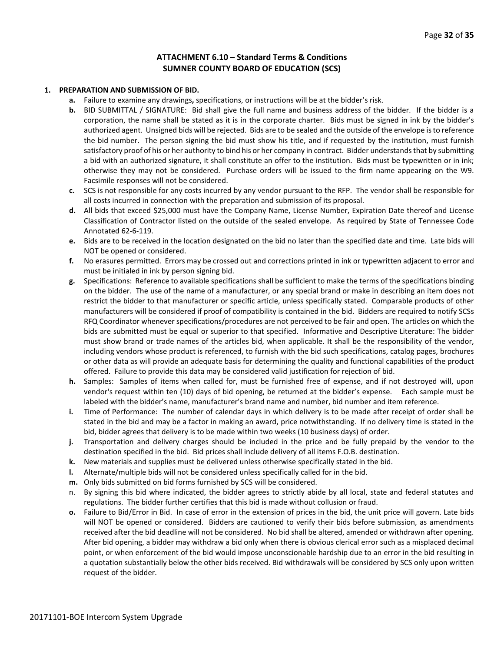#### **ATTACHMENT 6.10 – Standard Terms & Conditions SUMNER COUNTY BOARD OF EDUCATION (SCS)**

#### **1. PREPARATION AND SUBMISSION OF BID.**

- **a.** Failure to examine any drawings**,** specifications, or instructions will be at the bidder's risk.
- **b.** BID SUBMITTAL / SIGNATURE: Bid shall give the full name and business address of the bidder. If the bidder is a corporation, the name shall be stated as it is in the corporate charter. Bids must be signed in ink by the bidder's authorized agent. Unsigned bids will be rejected. Bids are to be sealed and the outside of the envelope is to reference the bid number. The person signing the bid must show his title, and if requested by the institution, must furnish satisfactory proof of his or her authority to bind his or her company in contract. Bidder understands that by submitting a bid with an authorized signature, it shall constitute an offer to the institution. Bids must be typewritten or in ink; otherwise they may not be considered. Purchase orders will be issued to the firm name appearing on the W9. Facsimile responses will not be considered.
- **c.** SCS is not responsible for any costs incurred by any vendor pursuant to the RFP. The vendor shall be responsible for all costs incurred in connection with the preparation and submission of its proposal.
- **d.** All bids that exceed \$25,000 must have the Company Name, License Number, Expiration Date thereof and License Classification of Contractor listed on the outside of the sealed envelope. As required by State of Tennessee Code Annotated 62-6-119.
- **e.** Bids are to be received in the location designated on the bid no later than the specified date and time. Late bids will NOT be opened or considered.
- **f.** No erasures permitted. Errors may be crossed out and corrections printed in ink or typewritten adjacent to error and must be initialed in ink by person signing bid.
- **g.** Specifications: Reference to available specifications shall be sufficient to make the terms of the specifications binding on the bidder. The use of the name of a manufacturer, or any special brand or make in describing an item does not restrict the bidder to that manufacturer or specific article, unless specifically stated. Comparable products of other manufacturers will be considered if proof of compatibility is contained in the bid. Bidders are required to notify SCSs RFQ Coordinator whenever specifications/procedures are not perceived to be fair and open. The articles on which the bids are submitted must be equal or superior to that specified. Informative and Descriptive Literature: The bidder must show brand or trade names of the articles bid, when applicable. It shall be the responsibility of the vendor, including vendors whose product is referenced, to furnish with the bid such specifications, catalog pages, brochures or other data as will provide an adequate basis for determining the quality and functional capabilities of the product offered. Failure to provide this data may be considered valid justification for rejection of bid.
- **h.** Samples: Samples of items when called for, must be furnished free of expense, and if not destroyed will, upon vendor's request within ten (10) days of bid opening, be returned at the bidder's expense. Each sample must be labeled with the bidder's name, manufacturer's brand name and number, bid number and item reference.
- **i.** Time of Performance: The number of calendar days in which delivery is to be made after receipt of order shall be stated in the bid and may be a factor in making an award, price notwithstanding. If no delivery time is stated in the bid, bidder agrees that delivery is to be made within two weeks (10 business days) of order.
- **j.** Transportation and delivery charges should be included in the price and be fully prepaid by the vendor to the destination specified in the bid. Bid prices shall include delivery of all items F.O.B. destination.
- **k.** New materials and supplies must be delivered unless otherwise specifically stated in the bid.
- **l.** Alternate/multiple bids will not be considered unless specifically called for in the bid.
- **m.** Only bids submitted on bid forms furnished by SCS will be considered.
- n. By signing this bid where indicated, the bidder agrees to strictly abide by all local, state and federal statutes and regulations. The bidder further certifies that this bid is made without collusion or fraud.
- **o.** Failure to Bid/Error in Bid. In case of error in the extension of prices in the bid, the unit price will govern. Late bids will NOT be opened or considered. Bidders are cautioned to verify their bids before submission, as amendments received after the bid deadline will not be considered. No bid shall be altered, amended or withdrawn after opening. After bid opening, a bidder may withdraw a bid only when there is obvious clerical error such as a misplaced decimal point, or when enforcement of the bid would impose unconscionable hardship due to an error in the bid resulting in a quotation substantially below the other bids received. Bid withdrawals will be considered by SCS only upon written request of the bidder.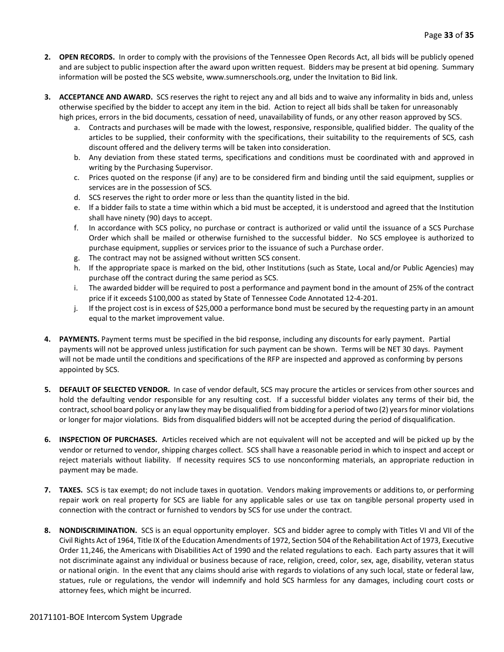- **2. OPEN RECORDS.** In order to comply with the provisions of the Tennessee Open Records Act, all bids will be publicly opened and are subject to public inspection after the award upon written request. Bidders may be present at bid opening. Summary information will be posted the SCS website, www.sumnerschools.org, under the Invitation to Bid link.
- **3. ACCEPTANCE AND AWARD.** SCS reserves the right to reject any and all bids and to waive any informality in bids and, unless otherwise specified by the bidder to accept any item in the bid. Action to reject all bids shall be taken for unreasonably high prices, errors in the bid documents, cessation of need, unavailability of funds, or any other reason approved by SCS.
	- a. Contracts and purchases will be made with the lowest, responsive, responsible, qualified bidder. The quality of the articles to be supplied, their conformity with the specifications, their suitability to the requirements of SCS, cash discount offered and the delivery terms will be taken into consideration.
	- b. Any deviation from these stated terms, specifications and conditions must be coordinated with and approved in writing by the Purchasing Supervisor.
	- c. Prices quoted on the response (if any) are to be considered firm and binding until the said equipment, supplies or services are in the possession of SCS.
	- d. SCS reserves the right to order more or less than the quantity listed in the bid.
	- e. If a bidder fails to state a time within which a bid must be accepted, it is understood and agreed that the Institution shall have ninety (90) days to accept.
	- f. In accordance with SCS policy, no purchase or contract is authorized or valid until the issuance of a SCS Purchase Order which shall be mailed or otherwise furnished to the successful bidder. No SCS employee is authorized to purchase equipment, supplies or services prior to the issuance of such a Purchase order.
	- g. The contract may not be assigned without written SCS consent.
	- h. If the appropriate space is marked on the bid, other Institutions (such as State, Local and/or Public Agencies) may purchase off the contract during the same period as SCS.
	- i. The awarded bidder will be required to post a performance and payment bond in the amount of 25% of the contract price if it exceeds \$100,000 as stated by State of Tennessee Code Annotated 12-4-201.
	- j. If the project cost is in excess of \$25,000 a performance bond must be secured by the requesting party in an amount equal to the market improvement value.
- **4. PAYMENTS.** Payment terms must be specified in the bid response, including any discounts for early payment. Partial payments will not be approved unless justification for such payment can be shown. Terms will be NET 30 days. Payment will not be made until the conditions and specifications of the RFP are inspected and approved as conforming by persons appointed by SCS.
- **5. DEFAULT OF SELECTED VENDOR.** In case of vendor default, SCS may procure the articles or services from other sources and hold the defaulting vendor responsible for any resulting cost. If a successful bidder violates any terms of their bid, the contract, school board policy or any law they may be disqualified from bidding for a period of two (2) years for minor violations or longer for major violations. Bids from disqualified bidders will not be accepted during the period of disqualification.
- **6. INSPECTION OF PURCHASES.** Articles received which are not equivalent will not be accepted and will be picked up by the vendor or returned to vendor, shipping charges collect. SCS shall have a reasonable period in which to inspect and accept or reject materials without liability. If necessity requires SCS to use nonconforming materials, an appropriate reduction in payment may be made.
- **7. TAXES.** SCS is tax exempt; do not include taxes in quotation. Vendors making improvements or additions to, or performing repair work on real property for SCS are liable for any applicable sales or use tax on tangible personal property used in connection with the contract or furnished to vendors by SCS for use under the contract.
- **8. NONDISCRIMINATION.** SCS is an equal opportunity employer. SCS and bidder agree to comply with Titles VI and VII of the Civil Rights Act of 1964, Title IX of the Education Amendments of 1972, Section 504 of the Rehabilitation Act of 1973, Executive Order 11,246, the Americans with Disabilities Act of 1990 and the related regulations to each. Each party assures that it will not discriminate against any individual or business because of race, religion, creed, color, sex, age, disability, veteran status or national origin. In the event that any claims should arise with regards to violations of any such local, state or federal law, statues, rule or regulations, the vendor will indemnify and hold SCS harmless for any damages, including court costs or attorney fees, which might be incurred.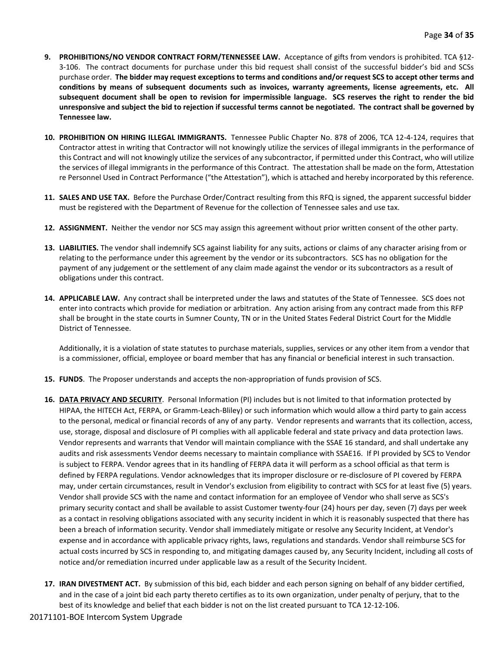- **9. PROHIBITIONS/NO VENDOR CONTRACT FORM/TENNESSEE LAW.** Acceptance of gifts from vendors is prohibited. TCA §12- 3-106. The contract documents for purchase under this bid request shall consist of the successful bidder's bid and SCSs purchase order. **The bidder may request exceptions to terms and conditions and/or request SCS to accept other terms and conditions by means of subsequent documents such as invoices, warranty agreements, license agreements, etc. All subsequent document shall be open to revision for impermissible language. SCS reserves the right to render the bid unresponsive and subject the bid to rejection if successful terms cannot be negotiated. The contract shall be governed by Tennessee law.**
- **10. PROHIBITION ON HIRING ILLEGAL IMMIGRANTS.** Tennessee Public Chapter No. 878 of 2006, TCA 12-4-124, requires that Contractor attest in writing that Contractor will not knowingly utilize the services of illegal immigrants in the performance of this Contract and will not knowingly utilize the services of any subcontractor, if permitted under this Contract, who will utilize the services of illegal immigrants in the performance of this Contract. The attestation shall be made on the form, Attestation re Personnel Used in Contract Performance ("the Attestation"), which is attached and hereby incorporated by this reference.
- **11. SALES AND USE TAX.** Before the Purchase Order/Contract resulting from this RFQ is signed, the apparent successful bidder must be registered with the Department of Revenue for the collection of Tennessee sales and use tax.
- **12. ASSIGNMENT.** Neither the vendor nor SCS may assign this agreement without prior written consent of the other party.
- **13. LIABILITIES.** The vendor shall indemnify SCS against liability for any suits, actions or claims of any character arising from or relating to the performance under this agreement by the vendor or its subcontractors. SCS has no obligation for the payment of any judgement or the settlement of any claim made against the vendor or its subcontractors as a result of obligations under this contract.
- **14. APPLICABLE LAW.** Any contract shall be interpreted under the laws and statutes of the State of Tennessee. SCS does not enter into contracts which provide for mediation or arbitration. Any action arising from any contract made from this RFP shall be brought in the state courts in Sumner County, TN or in the United States Federal District Court for the Middle District of Tennessee.

Additionally, it is a violation of state statutes to purchase materials, supplies, services or any other item from a vendor that is a commissioner, official, employee or board member that has any financial or beneficial interest in such transaction.

- **15. FUNDS**. The Proposer understands and accepts the non-appropriation of funds provision of SCS.
- **16. DATA PRIVACY AND SECURITY**. Personal Information (PI) includes but is not limited to that information protected by HIPAA, the HITECH Act, FERPA, or Gramm-Leach-Bliley) or such information which would allow a third party to gain access to the personal, medical or financial records of any of any party. Vendor represents and warrants that its collection, access, use, storage, disposal and disclosure of PI complies with all applicable federal and state privacy and data protection laws. Vendor represents and warrants that Vendor will maintain compliance with the SSAE 16 standard, and shall undertake any audits and risk assessments Vendor deems necessary to maintain compliance with SSAE16. If PI provided by SCS to Vendor is subject to FERPA. Vendor agrees that in its handling of FERPA data it will perform as a school official as that term is defined by FERPA regulations. Vendor acknowledges that its improper disclosure or re-disclosure of PI covered by FERPA may, under certain circumstances, result in Vendor's exclusion from eligibility to contract with SCS for at least five (5) years. Vendor shall provide SCS with the name and contact information for an employee of Vendor who shall serve as SCS's primary security contact and shall be available to assist Customer twenty-four (24) hours per day, seven (7) days per week as a contact in resolving obligations associated with any security incident in which it is reasonably suspected that there has been a breach of information security. Vendor shall immediately mitigate or resolve any Security Incident, at Vendor's expense and in accordance with applicable privacy rights, laws, regulations and standards. Vendor shall reimburse SCS for actual costs incurred by SCS in responding to, and mitigating damages caused by, any Security Incident, including all costs of notice and/or remediation incurred under applicable law as a result of the Security Incident.
- **17. IRAN DIVESTMENT ACT.** By submission of this bid, each bidder and each person signing on behalf of any bidder certified, and in the case of a joint bid each party thereto certifies as to its own organization, under penalty of perjury, that to the best of its knowledge and belief that each bidder is not on the list created pursuant to TCA 12-12-106.